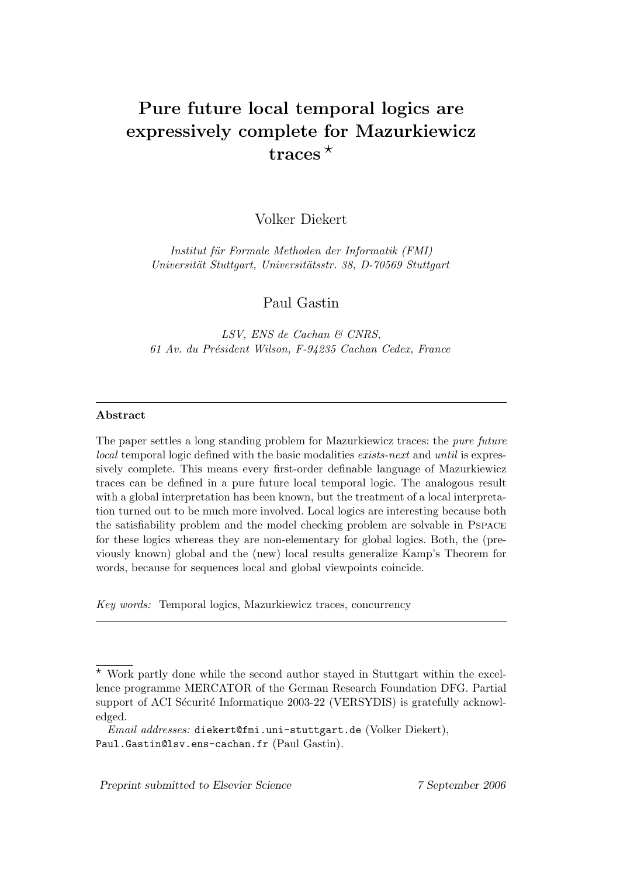# Pure future local temporal logics are expressively complete for Mazurkiewicz traces<sup> $\star$ </sup>

Volker Diekert

Institut für Formale Methoden der Informatik (FMI) Universität Stuttgart, Universitätsstr. 38, D-70569 Stuttgart

Paul Gastin

LSV, ENS de Cachan & CNRS, 61 Av. du Président Wilson, F-94235 Cachan Cedex, France

## Abstract

The paper settles a long standing problem for Mazurkiewicz traces: the pure future local temporal logic defined with the basic modalities exists-next and until is expressively complete. This means every first-order definable language of Mazurkiewicz traces can be defined in a pure future local temporal logic. The analogous result with a global interpretation has been known, but the treatment of a local interpretation turned out to be much more involved. Local logics are interesting because both the satisfiability problem and the model checking problem are solvable in Pspace for these logics whereas they are non-elementary for global logics. Both, the (previously known) global and the (new) local results generalize Kamp's Theorem for words, because for sequences local and global viewpoints coincide.

Key words: Temporal logics, Mazurkiewicz traces, concurrency

Preprint submitted to Elsevier Science 7 September 2006

 $*$  Work partly done while the second author stayed in Stuttgart within the excellence programme MERCATOR of the German Research Foundation DFG. Partial support of ACI Sécurité Informatique 2003-22 (VERSYDIS) is gratefully acknowledged.

Email addresses: diekert@fmi.uni-stuttgart.de (Volker Diekert), Paul.Gastin@lsv.ens-cachan.fr (Paul Gastin).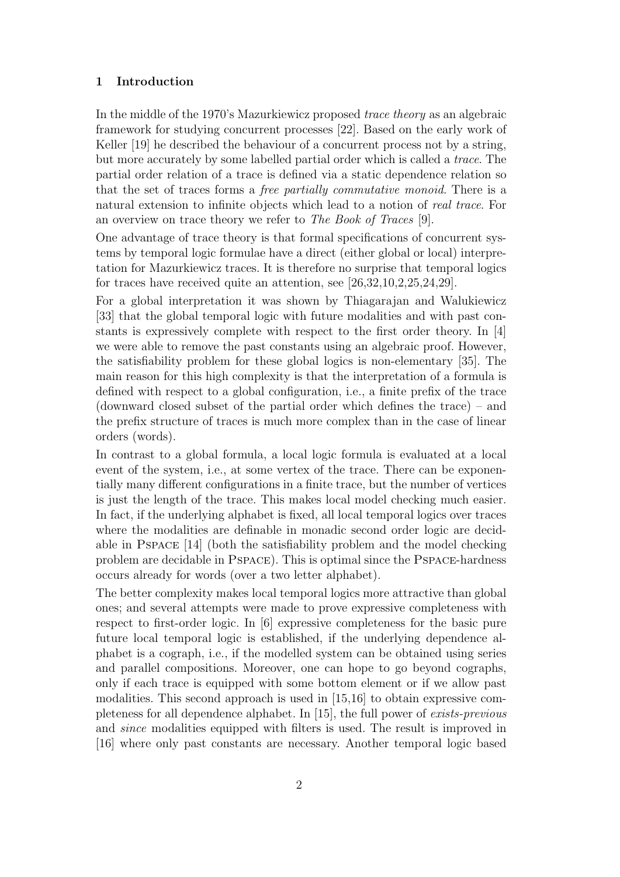## 1 Introduction

In the middle of the 1970's Mazurkiewicz proposed trace theory as an algebraic framework for studying concurrent processes [22]. Based on the early work of Keller [19] he described the behaviour of a concurrent process not by a string, but more accurately by some labelled partial order which is called a trace. The partial order relation of a trace is defined via a static dependence relation so that the set of traces forms a free partially commutative monoid. There is a natural extension to infinite objects which lead to a notion of real trace. For an overview on trace theory we refer to The Book of Traces [9].

One advantage of trace theory is that formal specifications of concurrent systems by temporal logic formulae have a direct (either global or local) interpretation for Mazurkiewicz traces. It is therefore no surprise that temporal logics for traces have received quite an attention, see [26,32,10,2,25,24,29].

For a global interpretation it was shown by Thiagarajan and Walukiewicz [33] that the global temporal logic with future modalities and with past constants is expressively complete with respect to the first order theory. In [4] we were able to remove the past constants using an algebraic proof. However, the satisfiability problem for these global logics is non-elementary [35]. The main reason for this high complexity is that the interpretation of a formula is defined with respect to a global configuration, i.e., a finite prefix of the trace (downward closed subset of the partial order which defines the trace) – and the prefix structure of traces is much more complex than in the case of linear orders (words).

In contrast to a global formula, a local logic formula is evaluated at a local event of the system, i.e., at some vertex of the trace. There can be exponentially many different configurations in a finite trace, but the number of vertices is just the length of the trace. This makes local model checking much easier. In fact, if the underlying alphabet is fixed, all local temporal logics over traces where the modalities are definable in monadic second order logic are decidable in Pspace [14] (both the satisfiability problem and the model checking problem are decidable in Pspace). This is optimal since the Pspace-hardness occurs already for words (over a two letter alphabet).

The better complexity makes local temporal logics more attractive than global ones; and several attempts were made to prove expressive completeness with respect to first-order logic. In [6] expressive completeness for the basic pure future local temporal logic is established, if the underlying dependence alphabet is a cograph, i.e., if the modelled system can be obtained using series and parallel compositions. Moreover, one can hope to go beyond cographs, only if each trace is equipped with some bottom element or if we allow past modalities. This second approach is used in [15,16] to obtain expressive completeness for all dependence alphabet. In [15], the full power of exists-previous and since modalities equipped with filters is used. The result is improved in [16] where only past constants are necessary. Another temporal logic based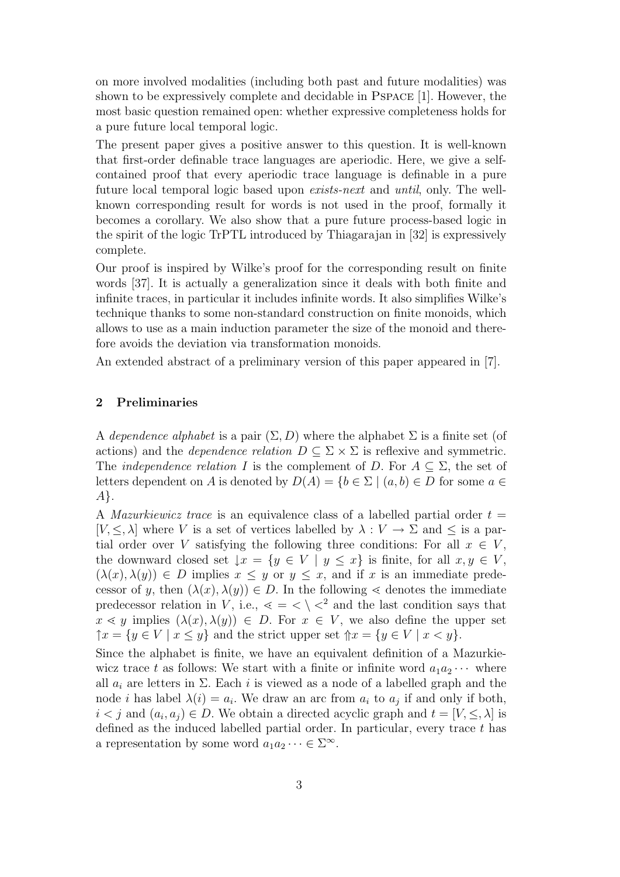on more involved modalities (including both past and future modalities) was shown to be expressively complete and decidable in Pspace [1]. However, the most basic question remained open: whether expressive completeness holds for a pure future local temporal logic.

The present paper gives a positive answer to this question. It is well-known that first-order definable trace languages are aperiodic. Here, we give a selfcontained proof that every aperiodic trace language is definable in a pure future local temporal logic based upon exists-next and until, only. The wellknown corresponding result for words is not used in the proof, formally it becomes a corollary. We also show that a pure future process-based logic in the spirit of the logic TrPTL introduced by Thiagarajan in [32] is expressively complete.

Our proof is inspired by Wilke's proof for the corresponding result on finite words [37]. It is actually a generalization since it deals with both finite and infinite traces, in particular it includes infinite words. It also simplifies Wilke's technique thanks to some non-standard construction on finite monoids, which allows to use as a main induction parameter the size of the monoid and therefore avoids the deviation via transformation monoids.

An extended abstract of a preliminary version of this paper appeared in [7].

### 2 Preliminaries

A dependence alphabet is a pair  $(\Sigma, D)$  where the alphabet  $\Sigma$  is a finite set (of actions) and the *dependence relation*  $D \subseteq \Sigma \times \Sigma$  is reflexive and symmetric. The *independence relation* I is the complement of D. For  $A \subseteq \Sigma$ , the set of letters dependent on A is denoted by  $D(A) = \{b \in \Sigma \mid (a, b) \in D \text{ for some } a \in \mathbb{R} \}$ A}.

A *Mazurkiewicz trace* is an equivalence class of a labelled partial order  $t =$  $[V, \leq, \lambda]$  where V is a set of vertices labelled by  $\lambda : V \to \Sigma$  and  $\leq$  is a partial order over V satisfying the following three conditions: For all  $x \in V$ , the downward closed set  $\downarrow x = \{y \in V \mid y \leq x\}$  is finite, for all  $x, y \in V$ ,  $(\lambda(x), \lambda(y)) \in D$  implies  $x \leq y$  or  $y \leq x$ , and if x is an immediate predecessor of y, then  $(\lambda(x), \lambda(y)) \in D$ . In the following  $\leq$  denotes the immediate predecessor relation in V, i.e.,  $\langle \, \leq \, \rangle \langle \, \rangle$  and the last condition says that  $x \leq y$  implies  $(\lambda(x), \lambda(y)) \in D$ . For  $x \in V$ , we also define the upper set  $\uparrow x = \{y \in V \mid x \leq y\}$  and the strict upper set  $\uparrow x = \{y \in V \mid x < y\}.$ 

Since the alphabet is finite, we have an equivalent definition of a Mazurkiewicz trace t as follows: We start with a finite or infinite word  $a_1a_2 \cdots$  where all  $a_i$  are letters in  $\Sigma$ . Each i is viewed as a node of a labelled graph and the node *i* has label  $\lambda(i) = a_i$ . We draw an arc from  $a_i$  to  $a_j$  if and only if both,  $i < j$  and  $(a_i, a_j) \in D$ . We obtain a directed acyclic graph and  $t = [V, \leq, \lambda]$  is defined as the induced labelled partial order. In particular, every trace t has a representation by some word  $a_1 a_2 \cdots \in \Sigma^{\infty}$ .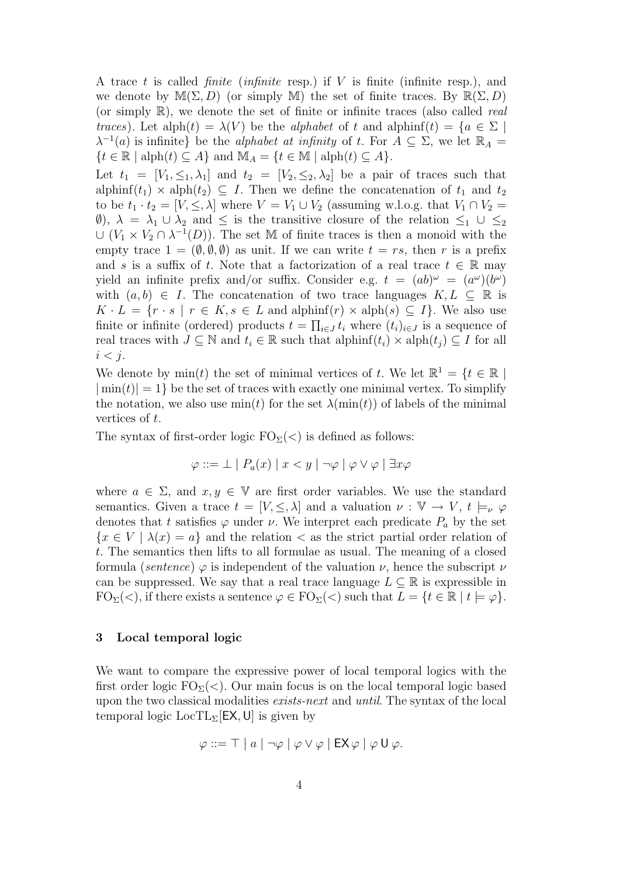A trace t is called *finite* (*infinite* resp.) if V is finite (*infinite* resp.), and we denote by  $\mathbb{M}(\Sigma, D)$  (or simply M) the set of finite traces. By  $\mathbb{R}(\Sigma, D)$ (or simply  $\mathbb{R}$ ), we denote the set of finite or infinite traces (also called *real* traces). Let alph(t) =  $\lambda(V)$  be the alphabet of t and alphinf(t) =  $\{a \in \Sigma \mid$  $\lambda^{-1}(a)$  is infinite} be the *alphabet at infinity* of t. For  $A \subseteq \Sigma$ , we let  $\mathbb{R}_A =$  ${t \in \mathbb{R} \mid \text{alph}(t) \subseteq A}$  and  $\mathbb{M}_A = {t \in \mathbb{M} \mid \text{alph}(t) \subseteq A}$ .

Let  $t_1 = [V_1, \leq_1, \lambda_1]$  and  $t_2 = [V_2, \leq_2, \lambda_2]$  be a pair of traces such that alphinf(t<sub>1</sub>) × alph(t<sub>2</sub>)  $\subseteq$  I. Then we define the concatenation of t<sub>1</sub> and t<sub>2</sub> to be  $t_1 \cdot t_2 = [V, \leq, \lambda]$  where  $V = V_1 \cup V_2$  (assuming w.l.o.g. that  $V_1 \cap V_2 =$ (0),  $\lambda = \lambda_1 \cup \lambda_2$  and  $\leq$  is the transitive closure of the relation  $\leq_1 \cup \leq_2$  $\cup (V_1 \times V_2 \cap \lambda^{-1}(D))$ . The set M of finite traces is then a monoid with the empty trace  $1 = (\emptyset, \emptyset, \emptyset)$  as unit. If we can write  $t = rs$ , then r is a prefix and s is a suffix of t. Note that a factorization of a real trace  $t \in \mathbb{R}$  may yield an infinite prefix and/or suffix. Consider e.g.  $t = (ab)^{\omega} = (a^{\omega})(b^{\omega})$ with  $(a, b) \in I$ . The concatenation of two trace languages  $K, L \subseteq \mathbb{R}$  is  $K \cdot L = \{r \cdot s \mid r \in K, s \in L \text{ and } \text{alphinf}(r) \times \text{alph}(s) \subseteq I\}.$  We also use finite or infinite (ordered) products  $t = \prod_{i \in J} t_i$  where  $(t_i)_{i \in J}$  is a sequence of real traces with  $J \subseteq \mathbb{N}$  and  $t_i \in \mathbb{R}$  such that alphinf $(t_i) \times \text{alph}(t_j) \subseteq I$  for all  $i < j$ .

We denote by  $min(t)$  the set of minimal vertices of t. We let  $\mathbb{R}^1 = \{t \in \mathbb{R} \mid$  $|\min(t)| = 1$  be the set of traces with exactly one minimal vertex. To simplify the notation, we also use  $\min(t)$  for the set  $\lambda(\min(t))$  of labels of the minimal vertices of t.

The syntax of first-order logic  $FO_{\Sigma}(<)$  is defined as follows:

$$
\varphi ::= \bot \mid P_a(x) \mid x < y \mid \neg \varphi \mid \varphi \lor \varphi \mid \exists x \varphi
$$

where  $a \in \Sigma$ , and  $x, y \in \mathbb{V}$  are first order variables. We use the standard semantics. Given a trace  $t = [V, \leq, \lambda]$  and a valuation  $\nu : V \to V$ ,  $t \models_{\nu} \varphi$ denotes that t satisfies  $\varphi$  under  $\nu$ . We interpret each predicate  $P_a$  by the set  ${x \in V \mid \lambda(x) = a}$  and the relation  $\lt$  as the strict partial order relation of t. The semantics then lifts to all formulae as usual. The meaning of a closed formula (sentence)  $\varphi$  is independent of the valuation  $\nu$ , hence the subscript  $\nu$ can be suppressed. We say that a real trace language  $L \subseteq \mathbb{R}$  is expressible in  $FO_{\Sigma}(\langle),$  if there exists a sentence  $\varphi \in FO_{\Sigma}(\langle)$  such that  $L = \{t \in \mathbb{R} \mid t \models \varphi\}.$ 

## 3 Local temporal logic

We want to compare the expressive power of local temporal logics with the first order logic  $FO_{\Sigma}(<)$ . Our main focus is on the local temporal logic based upon the two classical modalities exists-next and until. The syntax of the local temporal logic  $LocTL_{\Sigma}$ [EX, U] is given by

$$
\varphi ::= \top | a | \neg \varphi | \varphi \vee \varphi | \mathsf{EX} \varphi | \varphi \mathsf{U} \varphi.
$$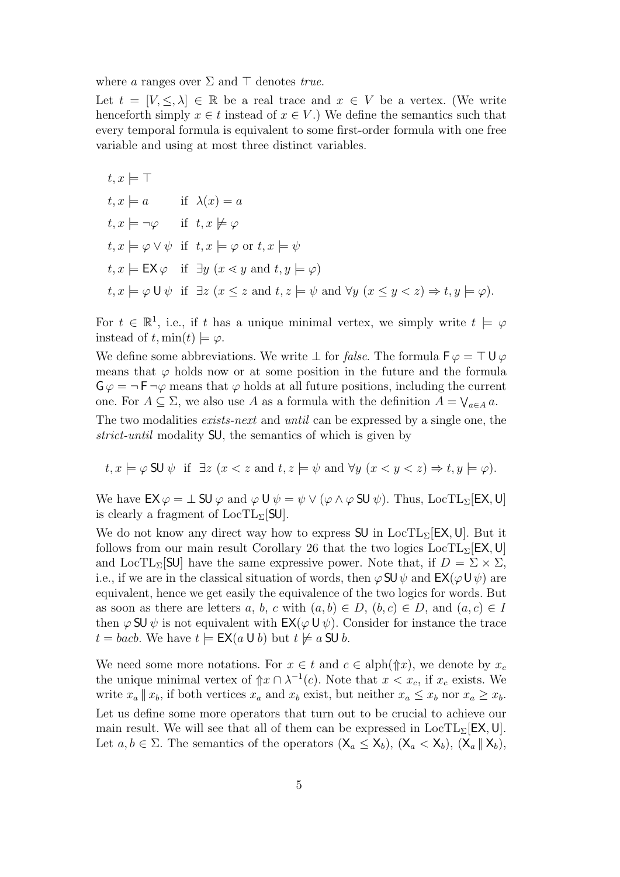where a ranges over  $\Sigma$  and  $\top$  denotes true.

Let  $t = [V, \leq, \lambda] \in \mathbb{R}$  be a real trace and  $x \in V$  be a vertex. (We write henceforth simply  $x \in t$  instead of  $x \in V$ .) We define the semantics such that every temporal formula is equivalent to some first-order formula with one free variable and using at most three distinct variables.

$$
t, x \models \top
$$
  
\n
$$
t, x \models a
$$
 if  $\lambda(x) = a$   
\n
$$
t, x \models \neg \varphi
$$
 if  $t, x \not\models \varphi$   
\n
$$
t, x \models \varphi \lor \psi
$$
 if  $t, x \models \varphi$  or  $t, x \models \psi$   
\n
$$
t, x \models \mathsf{EX} \varphi
$$
 if  $\exists y \ (x \le y \text{ and } t, y \models \varphi)$   
\n
$$
t, x \models \varphi \cup \psi
$$
 if  $\exists z \ (x \le z \text{ and } t, z \models \psi \text{ and } \forall y \ (x \le y < z) \Rightarrow t, y \models \varphi).$ 

For  $t \in \mathbb{R}^1$ , i.e., if t has a unique minimal vertex, we simply write  $t \models \varphi$ instead of t, min(t)  $\models \varphi$ .

We define some abbreviations. We write  $\perp$  for *false*. The formula  $\mathsf{F}\varphi = \top \mathsf{U}\varphi$ means that  $\varphi$  holds now or at some position in the future and the formula  $\mathsf{G}\varphi = \neg \mathsf{F} \neg \varphi$  means that  $\varphi$  holds at all future positions, including the current one. For  $A \subseteq \Sigma$ , we also use A as a formula with the definition  $A = \bigvee_{a \in A} a$ . The two modalities *exists-next* and *until* can be expressed by a single one, the

strict-until modality SU, the semantics of which is given by

$$
t, x \models \varphi
$$
 SU  $\psi$  if  $\exists z \ (x < z \text{ and } t, z \models \psi \text{ and } \forall y \ (x < y < z) \Rightarrow t, y \models \varphi)$ .

We have  $EX \varphi = \bot SU \varphi$  and  $\varphi U \psi = \psi \vee (\varphi \wedge \varphi SU \psi)$ . Thus, LocTL<sub>Σ</sub>[EX, U] is clearly a fragment of  $LocTL_{\Sigma}$ [SU].

We do not know any direct way how to express  $SU$  in  $LocTL<sub>\Sigma</sub>[EX, U]$ . But it follows from our main result Corollary 26 that the two logics  $LocTL<sub>\Sigma</sub>[EX, U]$ and LocTL<sub>Σ</sub>[SU] have the same expressive power. Note that, if  $D = \Sigma \times \Sigma$ , i.e., if we are in the classical situation of words, then  $\varphi$  SU  $\psi$  and EX( $\varphi$ U $\psi$ ) are equivalent, hence we get easily the equivalence of the two logics for words. But as soon as there are letters a, b, c with  $(a, b) \in D$ ,  $(b, c) \in D$ , and  $(a, c) \in I$ then  $\varphi$  SU  $\psi$  is not equivalent with  $EX(\varphi \cup \psi)$ . Consider for instance the trace  $t = bacb$ . We have  $t \models \mathsf{EX}(a \cup b)$  but  $t \not\models a \mathsf{SU} b$ .

We need some more notations. For  $x \in t$  and  $c \in \text{alph}(\Uparrow x)$ , we denote by  $x_c$ the unique minimal vertex of  $\hat{p}x \cap \lambda^{-1}(c)$ . Note that  $x < x_c$ , if  $x_c$  exists. We write  $x_a || x_b$ , if both vertices  $x_a$  and  $x_b$  exist, but neither  $x_a \leq x_b$  nor  $x_a \geq x_b$ . Let us define some more operators that turn out to be crucial to achieve our main result. We will see that all of them can be expressed in  $LocTL_{\Sigma}$ [EX, U]. Let  $a, b \in \Sigma$ . The semantics of the operators  $(\mathsf{X}_a \leq \mathsf{X}_b)$ ,  $(\mathsf{X}_a < \mathsf{X}_b)$ ,  $(\mathsf{X}_a \parallel \mathsf{X}_b)$ ,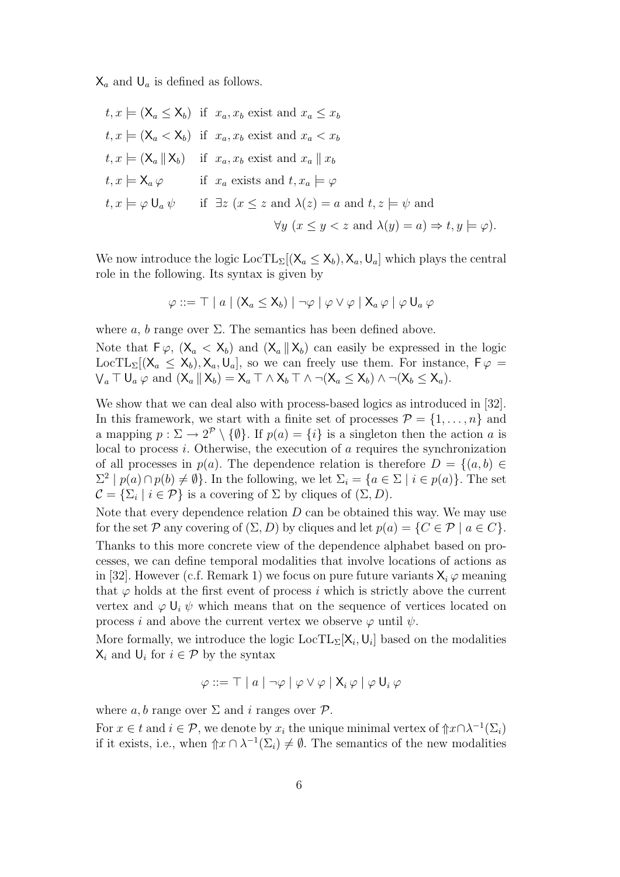$\mathsf{X}_a$  and  $\mathsf{U}_a$  is defined as follows.

$$
t, x \models (\mathsf{X}_a \le \mathsf{X}_b) \text{ if } x_a, x_b \text{ exist and } x_a \le x_b
$$
  
\n
$$
t, x \models (\mathsf{X}_a < \mathsf{X}_b) \text{ if } x_a, x_b \text{ exist and } x_a < x_b
$$
  
\n
$$
t, x \models (\mathsf{X}_a \parallel \mathsf{X}_b) \text{ if } x_a, x_b \text{ exist and } x_a \parallel x_b
$$
  
\n
$$
t, x \models \mathsf{X}_a \varphi \text{ if } x_a \text{ exists and } t, x_a \models \varphi
$$
  
\n
$$
t, x \models \varphi \mathsf{U}_a \psi \text{ if } \exists z \ (x \le z \text{ and } \lambda(z) = a \text{ and } t, z \models \psi \text{ and}
$$
  
\n
$$
\forall y \ (x \le y < z \text{ and } \lambda(y) = a) \Rightarrow t, y \models \varphi).
$$

We now introduce the logic  $\text{LocTL}_{\Sigma}[(X_a \le X_b), X_a, U_a]$  which plays the central role in the following. Its syntax is given by

$$
\varphi ::= \top | a | (X_a \le X_b) | \neg \varphi | \varphi \vee \varphi | X_a \varphi | \varphi U_a \varphi
$$

where a, b range over  $\Sigma$ . The semantics has been defined above.

Note that  $\mathsf{F}\varphi$ ,  $(\mathsf{X}_a < \mathsf{X}_b)$  and  $(\mathsf{X}_a \mid \mathsf{X}_b)$  can easily be expressed in the logic LocTL<sub>Σ</sub>[( $X_a \le X_b$ ),  $X_a$ ,  $U_a$ ], so we can freely use them. For instance,  $F\varphi =$  $\bigvee_a \top \mathsf{U}_a \varphi$  and  $(\mathsf{X}_a \parallel \mathsf{X}_b) = \mathsf{X}_a \top \wedge \mathsf{X}_b \top \wedge \neg(\mathsf{X}_a \leq \mathsf{X}_b) \wedge \neg(\mathsf{X}_b \leq \mathsf{X}_a).$ 

We show that we can deal also with process-based logics as introduced in [32]. In this framework, we start with a finite set of processes  $\mathcal{P} = \{1, \ldots, n\}$  and a mapping  $p: \Sigma \to 2^p \setminus \{\emptyset\}$ . If  $p(a) = \{i\}$  is a singleton then the action a is local to process i. Otherwise, the execution of a requires the synchronization of all processes in  $p(a)$ . The dependence relation is therefore  $D = \{(a, b) \in$  $\Sigma^2 | p(a) \cap p(b) \neq \emptyset$ . In the following, we let  $\Sigma_i = \{a \in \Sigma | i \in p(a)\}$ . The set  $C = {\{\Sigma_i \mid i \in \mathcal{P}\}}$  is a covering of  $\Sigma$  by cliques of  $(\Sigma, D)$ .

Note that every dependence relation  $D$  can be obtained this way. We may use for the set P any covering of  $(\Sigma, D)$  by cliques and let  $p(a) = \{C \in \mathcal{P} \mid a \in C\}.$ Thanks to this more concrete view of the dependence alphabet based on processes, we can define temporal modalities that involve locations of actions as in [32]. However (c.f. Remark 1) we focus on pure future variants  $X_i \varphi$  meaning that  $\varphi$  holds at the first event of process i which is strictly above the current vertex and  $\varphi \cup_i \psi$  which means that on the sequence of vertices located on process i and above the current vertex we observe  $\varphi$  until  $\psi$ .

More formally, we introduce the logic  $\text{LocTL}_{\Sigma}[\mathsf{X}_i, \mathsf{U}_i]$  based on the modalities  $\mathsf{X}_i$  and  $\mathsf{U}_i$  for  $i \in \mathcal{P}$  by the syntax

$$
\varphi ::= \top | a | \neg \varphi | \varphi \vee \varphi | X_i \varphi | \varphi U_i \varphi
$$

where a, b range over  $\Sigma$  and i ranges over  $\mathcal{P}$ .

For  $x \in t$  and  $i \in \mathcal{P}$ , we denote by  $x_i$  the unique minimal vertex of  $\frac{\partial^2 x}{\partial \lambda^{-1}}(\Sigma_i)$ if it exists, i.e., when  $\mathcal{L} \cap \lambda^{-1}(\Sigma_i) \neq \emptyset$ . The semantics of the new modalities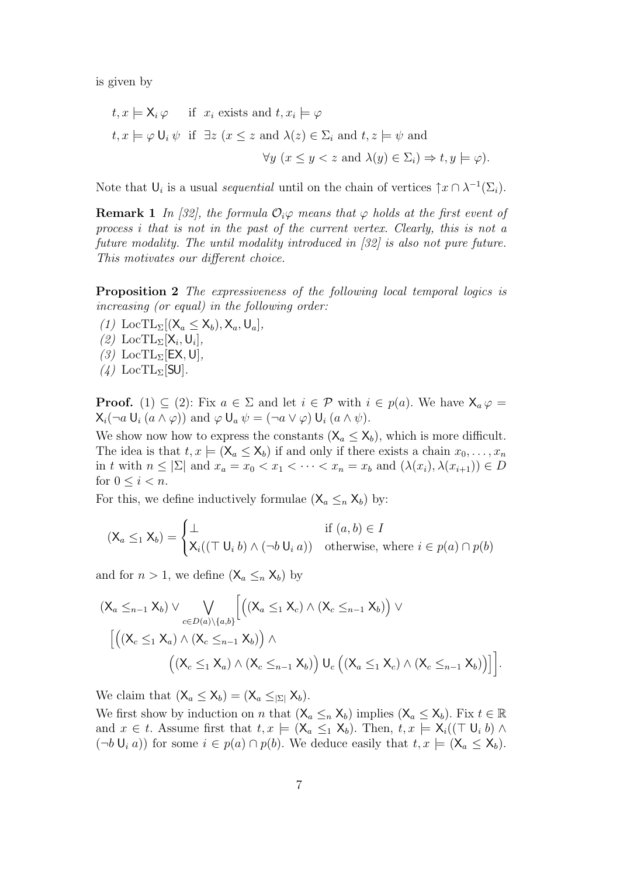is given by

$$
t, x \models \mathsf{X}_i \varphi \quad \text{if } x_i \text{ exists and } t, x_i \models \varphi
$$
  

$$
t, x \models \varphi \mathsf{U}_i \psi \text{ if } \exists z \ (x \le z \text{ and } \lambda(z) \in \Sigma_i \text{ and } t, z \models \psi \text{ and}
$$
  

$$
\forall y \ (x \le y < z \text{ and } \lambda(y) \in \Sigma_i) \Rightarrow t, y \models \varphi).
$$

Note that  $\mathsf{U}_i$  is a usual *sequential* until on the chain of vertices  $\uparrow x \cap \lambda^{-1}(\Sigma_i)$ .

**Remark 1** In [32], the formula  $\mathcal{O}_i \varphi$  means that  $\varphi$  holds at the first event of process i that is not in the past of the current vertex. Clearly, this is not a future modality. The until modality introduced in [32] is also not pure future. This motivates our different choice.

Proposition 2 The expressiveness of the following local temporal logics is increasing (or equal) in the following order:

- (1) LocTL<sub> $\Sigma$ </sub>[( $X_a \leq X_b$ ),  $X_a$ , U<sub>a</sub>],
- (2) LocTL<sub> $\Sigma$ </sub>[ $\mathsf{X}_i, \mathsf{U}_i$ ],
- (3) LocTL<sub>Σ</sub>[EX, U],
- $(4)$  LocTL<sub> $\Sigma$ </sub>[SU].

**Proof.** (1)  $\subseteq$  (2): Fix  $a \in \Sigma$  and let  $i \in \mathcal{P}$  with  $i \in p(a)$ . We have  $X_a \varphi =$  $X_i(\neg a \cup_i (a \wedge \varphi))$  and  $\varphi \cup_a \psi = (\neg a \vee \varphi) \cup_i (a \wedge \psi)$ .

We show now how to express the constants  $(X_a \le X_b)$ , which is more difficult. The idea is that  $t, x \models (\mathsf{X}_a \leq \mathsf{X}_b)$  if and only if there exists a chain  $x_0, \ldots, x_n$ in t with  $n \leq |\Sigma|$  and  $x_a = x_0 < x_1 < \cdots < x_n = x_b$  and  $(\lambda(x_i), \lambda(x_{i+1})) \in D$ for  $0 \leq i < n$ .

For this, we define inductively formulae  $(X_a \leq_n X_b)$  by:

$$
(\mathsf{X}_a \leq_1 \mathsf{X}_b) = \begin{cases} \bot & \text{if } (a, b) \in I \\ \mathsf{X}_i((\top \mathsf{U}_i b) \land (\neg b \mathsf{U}_i a)) & \text{otherwise, where } i \in p(a) \cap p(b) \end{cases}
$$

and for  $n > 1$ , we define  $(X_a \leq_n X_b)$  by

$$
(X_a \leq_{n-1} X_b) \vee \bigvee_{c \in D(a) \setminus \{a,b\}} \left[ \left( (X_a \leq_1 X_c) \wedge (X_c \leq_{n-1} X_b) \right) \vee \right]
$$

$$
\left[ \left( (X_c \leq_1 X_a) \wedge (X_c \leq_{n-1} X_b) \right) \wedge \left( (X_c \leq_1 X_a) \wedge (X_c \leq_{n-1} X_b) \right) U_c \left( (X_a \leq_1 X_c) \wedge (X_c \leq_{n-1} X_b) \right) \right] \right].
$$

We claim that  $(X_a \le X_b) = (X_a \le_{|\Sigma|} X_b)$ .

We first show by induction on n that  $(X_a \leq_n X_b)$  implies  $(X_a \leq X_b)$ . Fix  $t \in \mathbb{R}$ and  $x \in t$ . Assume first that  $t, x \models (\mathsf{X}_a \leq_1 \mathsf{X}_b)$ . Then,  $t, x \models \mathsf{X}_i((\top \mathsf{U}_i b) \land \top \mathsf{U}_i)$  $(\neg b \cup_i a)$  for some  $i \in p(a) \cap p(b)$ . We deduce easily that  $t, x \models (\mathsf{X}_a \leq \mathsf{X}_b)$ .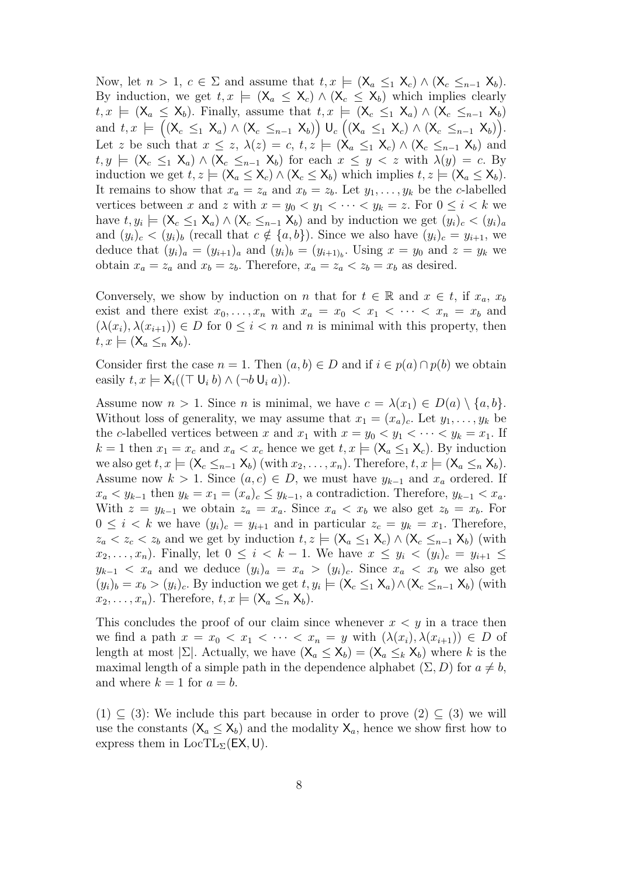Now, let  $n > 1$ ,  $c \in \Sigma$  and assume that  $t, x \models (\mathsf{X}_a \leq_1 \mathsf{X}_c) \wedge (\mathsf{X}_c \leq_{n-1} \mathsf{X}_b)$ . By induction, we get  $t, x \models (\mathsf{X}_a \leq \mathsf{X}_c) \land (\mathsf{X}_c \leq \mathsf{X}_b)$  which implies clearly  $t, x \models (\mathsf{X}_a \leq \mathsf{X}_b)$ . Finally, assume that  $t, x \models (\mathsf{X}_c \leq_1 \mathsf{X}_a) \land (\mathsf{X}_c \leq_{n-1} \mathsf{X}_b)$ and  $t, x \models ((X_c \leq_1 X_a) \wedge (X_c \leq_{n-1} X_b)) \cup_c ((X_a \leq_1 X_c) \wedge (X_c \leq_{n-1} X_b)).$ Let z be such that  $x \leq z$ ,  $\lambda(z) = c$ ,  $t, z \models (\mathsf{X}_a \leq_1 \mathsf{X}_c) \wedge (\mathsf{X}_c \leq_{n-1} \mathsf{X}_b)$  and  $t, y \models (\mathsf{X}_{c} \leq_1 \mathsf{X}_{a}) \land (\mathsf{X}_{c} \leq_{n-1} \mathsf{X}_{b})$  for each  $x \leq y < z$  with  $\lambda(y) = c$ . By induction we get  $t, z \models (\mathsf{X}_a \leq \mathsf{X}_c) \land (\mathsf{X}_c \leq \mathsf{X}_b)$  which implies  $t, z \models (\mathsf{X}_a \leq \mathsf{X}_b)$ . It remains to show that  $x_a = z_a$  and  $x_b = z_b$ . Let  $y_1, \ldots, y_k$  be the c-labelled vertices between x and z with  $x = y_0 < y_1 < \cdots < y_k = z$ . For  $0 \le i < k$  we have  $t, y_i \models (\mathsf{X}_c \leq_1 \mathsf{X}_a) \land (\mathsf{X}_c \leq_{n-1} \mathsf{X}_b)$  and by induction we get  $(y_i)_c < (y_i)_a$ and  $(y_i)_c < (y_i)_b$  (recall that  $c \notin \{a, b\}$ ). Since we also have  $(y_i)_c = y_{i+1}$ , we deduce that  $(y_i)_a = (y_{i+1})_a$  and  $(y_i)_b = (y_{i+1})_b$ . Using  $x = y_0$  and  $z = y_k$  we obtain  $x_a = z_a$  and  $x_b = z_b$ . Therefore,  $x_a = z_a \lt z_b = x_b$  as desired.

Conversely, we show by induction on n that for  $t \in \mathbb{R}$  and  $x \in t$ , if  $x_a, x_b$ exist and there exist  $x_0, \ldots, x_n$  with  $x_a = x_0 < x_1 < \cdots < x_n = x_b$  and  $(\lambda(x_i), \lambda(x_{i+1})) \in D$  for  $0 \leq i \leq n$  and n is minimal with this property, then  $t, x \models (\mathsf{X}_a \leq_n \mathsf{X}_b).$ 

Consider first the case  $n = 1$ . Then  $(a, b) \in D$  and if  $i \in p(a) \cap p(b)$  we obtain easily  $t, x \models \mathsf{X}_i((\top \mathsf{U}_i b) \wedge (\neg b \mathsf{U}_i a)).$ 

Assume now  $n > 1$ . Since *n* is minimal, we have  $c = \lambda(x_1) \in D(a) \setminus \{a, b\}.$ Without loss of generality, we may assume that  $x_1 = (x_a)_c$ . Let  $y_1, \ldots, y_k$  be the c-labelled vertices between x and  $x_1$  with  $x = y_0 < y_1 < \cdots < y_k = x_1$ . If  $k = 1$  then  $x_1 = x_c$  and  $x_a < x_c$  hence we get  $t, x \models (\mathsf{X}_a \leq_1 \mathsf{X}_c)$ . By induction we also get  $t, x \models (\mathsf{X}_c \leq_{n-1} \mathsf{X}_b)$  (with  $x_2, \ldots, x_n$ ). Therefore,  $t, x \models (\mathsf{X}_a \leq_n \mathsf{X}_b)$ . Assume now  $k > 1$ . Since  $(a, c) \in D$ , we must have  $y_{k-1}$  and  $x_a$  ordered. If  $x_a \lt y_{k-1}$  then  $y_k = x_1 = (x_a)_c \leq y_{k-1}$ , a contradiction. Therefore,  $y_{k-1} \lt x_a$ . With  $z = y_{k-1}$  we obtain  $z_a = x_a$ . Since  $x_a < x_b$  we also get  $z_b = x_b$ . For  $0 \leq i \leq k$  we have  $(y_i)_c = y_{i+1}$  and in particular  $z_c = y_k = x_1$ . Therefore,  $z_a < z_c < z_b$  and we get by induction  $t, z \models (\mathsf{X}_a \leq_1 \mathsf{X}_c) \wedge (\mathsf{X}_c \leq_{n-1} \mathsf{X}_b)$  (with  $x_2, \ldots, x_n$ ). Finally, let  $0 \leq i \leq k-1$ . We have  $x \leq y_i \leq (y_i)_c = y_{i+1} \leq$  $y_{k-1}$  <  $x_a$  and we deduce  $(y_i)_a = x_a > (y_i)_c$ . Since  $x_a$  <  $x_b$  we also get  $(y_i)_b = x_b > (y_i)_c$ . By induction we get  $t, y_i \models (\mathsf{X}_c \leq_1 \mathsf{X}_a) \wedge (\mathsf{X}_c \leq_{n-1} \mathsf{X}_b)$  (with  $x_2, \ldots, x_n$ ). Therefore,  $t, x \models (\mathsf{X}_a \leq_n \mathsf{X}_b)$ .

This concludes the proof of our claim since whenever  $x < y$  in a trace then we find a path  $x = x_0 < x_1 < \cdots < x_n = y$  with  $(\lambda(x_i), \lambda(x_{i+1})) \in D$  of length at most  $|\Sigma|$ . Actually, we have  $(\mathsf{X}_a \leq \mathsf{X}_b) = (\mathsf{X}_a \leq_k \mathsf{X}_b)$  where k is the maximal length of a simple path in the dependence alphabet  $(\Sigma, D)$  for  $a \neq b$ , and where  $k = 1$  for  $a = b$ .

 $(1) \subseteq (3)$ : We include this part because in order to prove  $(2) \subseteq (3)$  we will use the constants  $(X_a \leq X_b)$  and the modality  $X_a$ , hence we show first how to express them in  $LocTL_{\Sigma}$ (EX, U).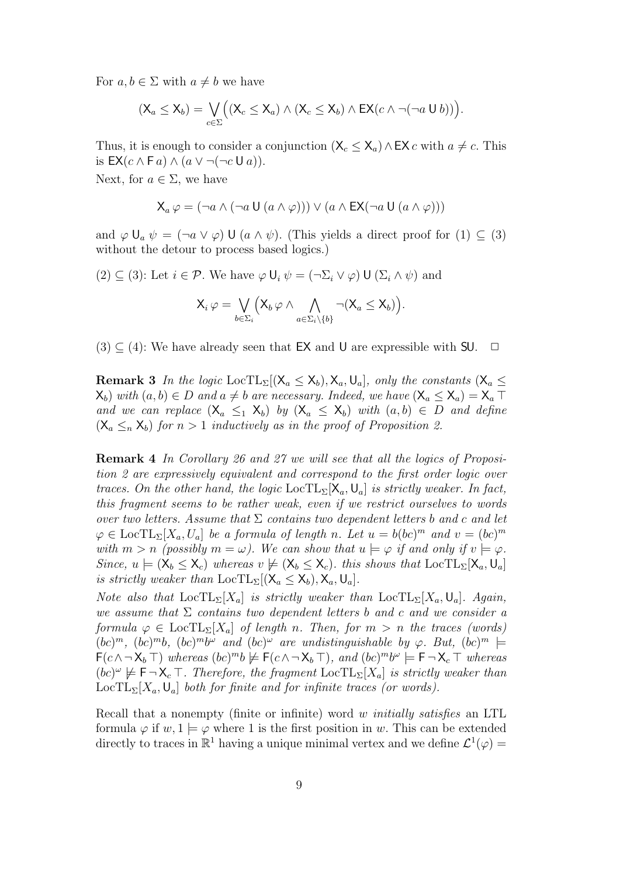For  $a, b \in \Sigma$  with  $a \neq b$  we have

$$
(\mathsf{X}_a \leq \mathsf{X}_b) = \bigvee_{c \in \Sigma} ((\mathsf{X}_c \leq \mathsf{X}_a) \wedge (\mathsf{X}_c \leq \mathsf{X}_b) \wedge \mathsf{EX}(c \wedge \neg(\neg a \cup b))).
$$

Thus, it is enough to consider a conjunction  $(X_c \le X_a) \wedge EX \, c$  with  $a \ne c$ . This is  $EX(c \wedge \overline{\mathsf{F}} a) \wedge (a \vee \neg(\neg c \mathsf{U} a)).$ 

Next, for  $a \in \Sigma$ , we have

$$
\mathsf{X}_{a}\,\varphi = (\neg a \land (\neg a \mathsf{U}\,(a \land \varphi))) \lor (a \land \mathsf{EX}(\neg a \mathsf{U}\,(a \land \varphi)))
$$

and  $\varphi \cup_a \psi = (\neg a \vee \varphi) \cup (a \wedge \psi)$ . (This yields a direct proof for  $(1) \subseteq (3)$ ) without the detour to process based logics.)

(2) 
$$
\subseteq
$$
 (3): Let  $i \in \mathcal{P}$ . We have  $\varphi \mathsf{U}_i \psi = (\neg \Sigma_i \vee \varphi) \mathsf{U} (\Sigma_i \wedge \psi)$  and

$$
X_i \varphi = \bigvee_{b \in \Sigma_i} \left( X_b \varphi \wedge \bigwedge_{a \in \Sigma_i \setminus \{b\}} \neg(X_a \leq X_b) \right).
$$

 $(3) \subseteq (4)$ : We have already seen that EX and U are expressible with SU.  $\Box$ 

**Remark 3** In the logic LocTL<sub>Σ</sub> $[(X_a \leq X_b), X_a, U_a]$ , only the constants  $(X_a \leq X_b)$  $\mathsf{X}_{b}$ ) with  $(a, b) \in D$  and  $a \neq b$  are necessary. Indeed, we have  $(\mathsf{X}_{a} \leq \mathsf{X}_{a}) = \mathsf{X}_{a}$ and we can replace  $(X_a \leq_1 X_b)$  by  $(X_a \leq X_b)$  with  $(a, b) \in D$  and define  $(X_a \leq_n X_b)$  for  $n > 1$  inductively as in the proof of Proposition 2.

Remark 4 In Corollary 26 and 27 we will see that all the logics of Proposition 2 are expressively equivalent and correspond to the first order logic over traces. On the other hand, the logic  $LocTL_{\Sigma}[\mathsf{X}_a, \mathsf{U}_a]$  is strictly weaker. In fact, this fragment seems to be rather weak, even if we restrict ourselves to words over two letters. Assume that  $\Sigma$  contains two dependent letters b and c and let  $\varphi \in \text{LocTL}_{\Sigma}[X_a, U_a]$  be a formula of length n. Let  $u = b(bc)^m$  and  $v = (bc)^m$ with  $m > n$  (possibly  $m = \omega$ ). We can show that  $u \models \varphi$  if and only if  $v \models \varphi$ . Since,  $u \models (\mathsf{X}_b \leq \mathsf{X}_c)$  whereas  $v \not\models (\mathsf{X}_b \leq \mathsf{X}_c)$ . this shows that  $\text{LocTL}_{\Sigma}[\mathsf{X}_a, \mathsf{U}_a]$ is strictly weaker than  $\text{LocTL}_{\Sigma}[(X_a \le X_b), X_a, U_a]$ .

Note also that  $\text{LocTL}_{\Sigma}[X_a]$  is strictly weaker than  $\text{LocTL}_{\Sigma}[X_a, \mathsf{U}_a]$ . Again, we assume that  $\Sigma$  contains two dependent letters b and c and we consider a formula  $\varphi \in \text{LocTL}_{\Sigma}[X_a]$  of length n. Then, for  $m > n$  the traces (words)  $(bc)^m$ ,  $(bc)^mb$ ,  $(bc)^mb^{\omega}$  and  $(bc)^{\omega}$  are undistinguishable by  $\varphi$ . But,  $(bc)^m \models$  $F(c \land \neg X_b \top)$  whereas  $(bc)^{m}b \not\models F(c \land \neg X_b \top)$ , and  $(bc)^{m}b^{\omega} \models F \neg X_c \top$  whereas  $(bc)^{\omega} \not\models \textsf{F} \neg \textsf{X}_c \top$ . Therefore, the fragment  $LocTL_{\Sigma}[X_a]$  is strictly weaker than  $\text{LocTL}_{\Sigma}[X_a, \mathsf{U}_a]$  both for finite and for infinite traces (or words).

Recall that a nonempty (finite or infinite) word w initially satisfies an LTL formula  $\varphi$  if  $w, 1 \models \varphi$  where 1 is the first position in w. This can be extended directly to traces in  $\mathbb{R}^1$  having a unique minimal vertex and we define  $\mathcal{L}^1(\varphi)$  =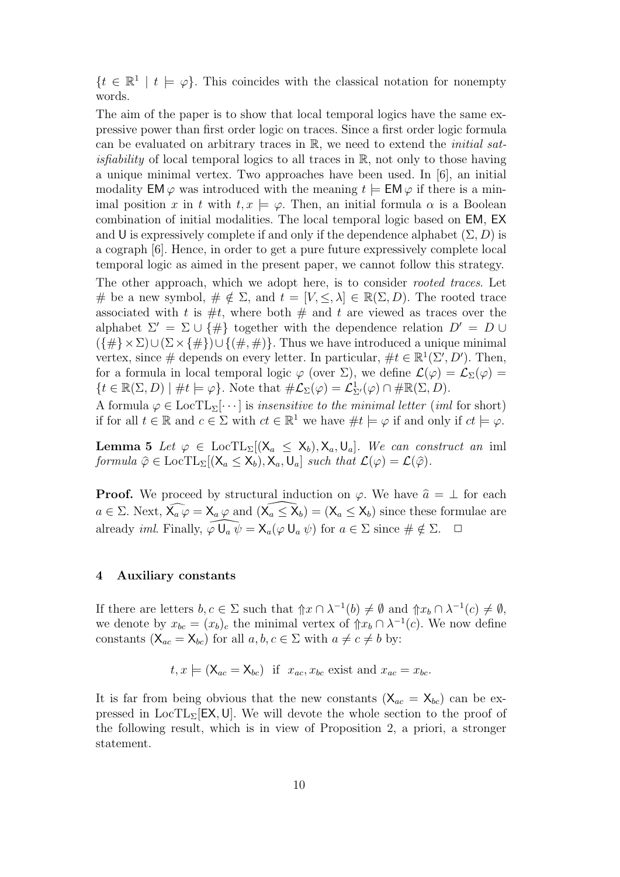$\{t \in \mathbb{R}^1 \mid t \models \varphi\}.$  This coincides with the classical notation for nonempty words.

The aim of the paper is to show that local temporal logics have the same expressive power than first order logic on traces. Since a first order logic formula can be evaluated on arbitrary traces in R, we need to extend the initial sat*isfiability* of local temporal logics to all traces in  $\mathbb{R}$ , not only to those having a unique minimal vertex. Two approaches have been used. In [6], an initial modality  $EM \varphi$  was introduced with the meaning  $t \models EM \varphi$  if there is a minimal position x in t with  $t, x \models \varphi$ . Then, an initial formula  $\alpha$  is a Boolean combination of initial modalities. The local temporal logic based on EM, EX and U is expressively complete if and only if the dependence alphabet  $(\Sigma, D)$  is a cograph [6]. Hence, in order to get a pure future expressively complete local temporal logic as aimed in the present paper, we cannot follow this strategy.

The other approach, which we adopt here, is to consider *rooted traces*. Let # be a new symbol,  $\# \notin \Sigma$ , and  $t = [V, \leq, \lambda] \in \mathbb{R}(\Sigma, D)$ . The rooted trace associated with t is  $\#t$ , where both  $\#$  and t are viewed as traces over the alphabet  $\Sigma' = \Sigma \cup {\{\#\}}$  together with the dependence relation  $D' = D \cup$  $({\{\#}\times\Sigma)\cup(\Sigma\times{\{\#}\})\cup{\{\#,\#}\}\}\.$  Thus we have introduced a unique minimal vertex, since # depends on every letter. In particular,  $\#t \in \mathbb{R}^1(\Sigma', D')$ . Then, for a formula in local temporal logic  $\varphi$  (over  $\Sigma$ ), we define  $\mathcal{L}(\varphi) = \mathcal{L}_{\Sigma}(\varphi) =$  $\{t \in \mathbb{R}(\Sigma, D) \mid \#t \models \varphi\}.$  Note that  $\#\mathcal{L}_{\Sigma}(\varphi) = \mathcal{L}_{\Sigma'}^1(\varphi) \cap \#\mathbb{R}(\Sigma, D).$ 

A formula  $\varphi \in \text{LocTL}_{\Sigma}[\cdots]$  is insensitive to the minimal letter (iml for short) if for all  $t \in \mathbb{R}$  and  $c \in \Sigma$  with  $ct \in \mathbb{R}^1$  we have  $\#t \models \varphi$  if and only if  $ct \models \varphi$ .

**Lemma 5** Let  $\varphi \in \text{LocTL}_{\Sigma}[(X_a \le X_b), X_a, U_a]$ . We can construct an iml formula  $\hat{\varphi} \in \text{LocTL}_{\Sigma}[(X_a \le X_b), X_a, U_a]$  such that  $\mathcal{L}(\varphi) = \mathcal{L}(\hat{\varphi})$ .

**Proof.** We proceed by structural induction on  $\varphi$ . We have  $\hat{a} = \perp$  for each  $a \in \Sigma$ . Next,  $\widehat{\mathsf{X}_a \varphi} = \mathsf{X}_a \varphi$  and  $(\widehat{\mathsf{X}_a} \leq \widehat{\mathsf{X}}_b) = (\mathsf{X}_a \leq \mathsf{X}_b)$  since these formulae are already *iml.* Finally,  $\widehat{\varphi \cup_a \psi} = \mathsf{X}_a(\varphi \cup_a \psi)$  for  $a \in \Sigma$  since  $\#\notin \Sigma$ .  $\Box$ 

## 4 Auxiliary constants

If there are letters  $b, c \in \Sigma$  such that  $\mathcal{L} \cap \lambda^{-1}(b) \neq \emptyset$  and  $\mathcal{L} \cap \lambda^{-1}(c) \neq \emptyset$ , we denote by  $x_{bc} = (x_b)_c$  the minimal vertex of  $\hat{p}_b \cap \lambda^{-1}(c)$ . We now define constants  $(X_{ac} = X_{bc})$  for all  $a, b, c \in \Sigma$  with  $a \neq c \neq b$  by:

$$
t, x \models (\mathsf{X}_{ac} = \mathsf{X}_{bc})
$$
 if  $x_{ac}, x_{bc}$  exist and  $x_{ac} = x_{bc}$ .

It is far from being obvious that the new constants  $(X_{ac} = X_{bc})$  can be expressed in  $LocTL<sub>\Sigma</sub>[EX, U]$ . We will devote the whole section to the proof of the following result, which is in view of Proposition 2, a priori, a stronger statement.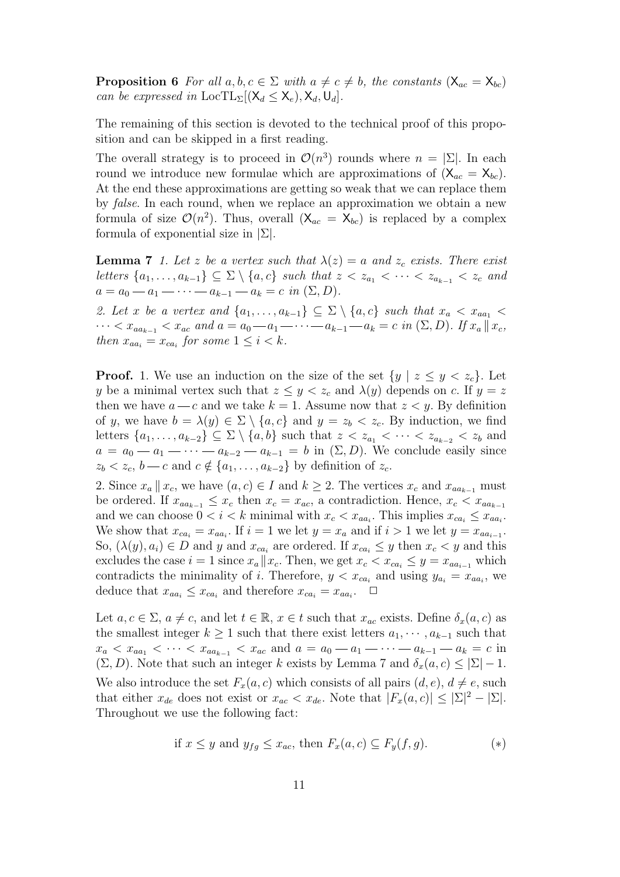**Proposition 6** For all  $a, b, c \in \Sigma$  with  $a \neq c \neq b$ , the constants  $(X_{ac} = X_{bc})$ can be expressed in  $\text{LocTL}_{\Sigma}[(X_d \le X_e), X_d, U_d].$ 

The remaining of this section is devoted to the technical proof of this proposition and can be skipped in a first reading.

The overall strategy is to proceed in  $\mathcal{O}(n^3)$  rounds where  $n = |\Sigma|$ . In each round we introduce new formulae which are approximations of  $(X_{ac} = X_{bc})$ . At the end these approximations are getting so weak that we can replace them by false. In each round, when we replace an approximation we obtain a new formula of size  $\mathcal{O}(n^2)$ . Thus, overall  $(X_{ac} = X_{bc})$  is replaced by a complex formula of exponential size in  $|\Sigma|$ .

**Lemma 7** 1. Let z be a vertex such that  $\lambda(z) = a$  and  $z_c$  exists. There exist letters  $\{a_1, \ldots, a_{k-1}\} \subseteq \Sigma \setminus \{a, c\}$  such that  $z < z_{a_1} < \cdots < z_{a_{k-1}} < z_c$  and  $a = a_0 - a_1 - \cdots - a_{k-1} - a_k = c \in (\Sigma, D).$ 

2. Let x be a vertex and  $\{a_1, \ldots, a_{k-1}\} \subseteq \Sigma \setminus \{a, c\}$  such that  $x_a < x_{aa_1}$  $\cdots < x_{aa_{k-1}} < x_{ac}$  and  $a = a_0 - a_1 - \cdots - a_{k-1} - a_k = c$  in  $(Σ, D)$ . If  $x_a || x_c$ , then  $x_{aa_i} = x_{ca_i}$  for some  $1 \leq i < k$ .

**Proof.** 1. We use an induction on the size of the set  $\{y \mid z \leq y \leq z_c\}$ . Let y be a minimal vertex such that  $z \leq y < z_c$  and  $\lambda(y)$  depends on c. If  $y = z$ then we have  $a - c$  and we take  $k = 1$ . Assume now that  $z \leq y$ . By definition of y, we have  $b = \lambda(y) \in \Sigma \setminus \{a, c\}$  and  $y = z_b < z_c$ . By induction, we find letters  $\{a_1, \ldots, a_{k-2}\} \subseteq \Sigma \setminus \{a, b\}$  such that  $z < z_{a_1} < \cdots < z_{a_{k-2}} < z_b$  and  $a = a_0 - a_1 - \cdots - a_{k-2} - a_{k-1} = b$  in  $(\Sigma, D)$ . We conclude easily since  $z_b < z_c, b - c$  and  $c \notin \{a_1, \ldots, a_{k-2}\}\$  by definition of  $z_c$ .

2. Since  $x_a || x_c$ , we have  $(a, c) \in I$  and  $k \geq 2$ . The vertices  $x_c$  and  $x_{aa_{k-1}}$  must be ordered. If  $x_{aa_{k-1}} \leq x_c$  then  $x_c = x_{ac}$ , a contradiction. Hence,  $x_c < x_{aa_{k-1}}$ and we can choose  $0 < i < k$  minimal with  $x_c < x_{aa_i}$ . This implies  $x_{ca_i} \le x_{aa_i}$ . We show that  $x_{ca_i} = x_{aa_i}$ . If  $i = 1$  we let  $y = x_a$  and if  $i > 1$  we let  $y = x_{aa_{i-1}}$ . So,  $(\lambda(y), a_i) \in D$  and y and  $x_{ca_i}$  are ordered. If  $x_{ca_i} \leq y$  then  $x_c < y$  and this excludes the case  $i = 1$  since  $x_a || x_c$ . Then, we get  $x_c < x_{ca_i} \leq y = x_{aa_{i-1}}$  which contradicts the minimality of i. Therefore,  $y < x_{ca_i}$  and using  $y_{a_i} = x_{aa_i}$ , we deduce that  $x_{aa_i} \leq x_{ca_i}$  and therefore  $x_{ca_i} = x_{aa_i}$ .  $\Box$ 

Let  $a, c \in \Sigma$ ,  $a \neq c$ , and let  $t \in \mathbb{R}$ ,  $x \in t$  such that  $x_{ac}$  exists. Define  $\delta_x(a, c)$  as the smallest integer  $k \geq 1$  such that there exist letters  $a_1, \dots, a_{k-1}$  such that  $x_a < x_{aa_1} < \cdots < x_{aa_{k-1}} < x_{ac}$  and  $a = a_0 - a_1 - \cdots - a_{k-1} - a_k = c$  in  $(\Sigma, D)$ . Note that such an integer k exists by Lemma 7 and  $\delta_x(a, c) \leq |\Sigma| - 1$ . We also introduce the set  $F_x(a, c)$  which consists of all pairs  $(d, e), d \neq e$ , such that either  $x_{de}$  does not exist or  $x_{ac} < x_{de}$ . Note that  $|F_x(a, c)| \leq |\Sigma|^2 - |\Sigma|$ . Throughout we use the following fact:

if 
$$
x \leq y
$$
 and  $y_{fg} \leq x_{ac}$ , then  $F_x(a, c) \subseteq F_y(f, g)$ . (\*)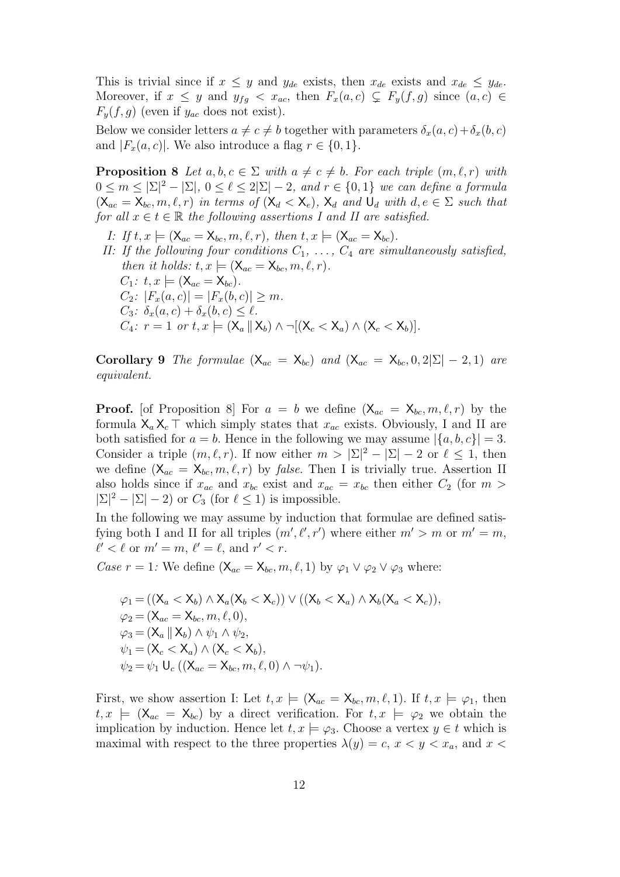This is trivial since if  $x \leq y$  and  $y_{de}$  exists, then  $x_{de}$  exists and  $x_{de} \leq y_{de}$ . Moreover, if  $x \leq y$  and  $y_{fg} < x_{ac}$ , then  $F_x(a, c) \subsetneq F_y(f, g)$  since  $(a, c) \in$  $F_y(f, g)$  (even if  $y_{ac}$  does not exist).

Below we consider letters  $a \neq c \neq b$  together with parameters  $\delta_x(a, c) + \delta_x(b, c)$ and  $|F_x(a, c)|$ . We also introduce a flag  $r \in \{0, 1\}$ .

**Proposition 8** Let  $a, b, c \in \Sigma$  with  $a \neq c \neq b$ . For each triple  $(m, \ell, r)$  with  $0 \leq m \leq |\Sigma|^2 - |\Sigma|, 0 \leq \ell \leq 2|\Sigma| - 2,$  and  $r \in \{0,1\}$  we can define a formula  $(X_{ac} = X_{bc}, m, \ell, r)$  in terms of  $(X_d < X_e)$ ,  $X_d$  and  $U_d$  with  $d, e \in \Sigma$  such that for all  $x \in t \in \mathbb{R}$  the following assertions I and II are satisfied.

I: If  $t, x \models (\mathsf{X}_{ac} = \mathsf{X}_{bc}, m, \ell, r)$ , then  $t, x \models (\mathsf{X}_{ac} = \mathsf{X}_{bc})$ . II: If the following four conditions  $C_1, \ldots, C_4$  are simultaneously satisfied, then it holds:  $t, x \models (\mathsf{X}_{ac} = \mathsf{X}_{bc}, m, \ell, r).$  $C_1$ :  $t, x \models (\mathsf{X}_{ac} = \mathsf{X}_{bc})$ .  $C_2$ :  $|F_x(a, c)| = |F_x(b, c)| \geq m$ .  $C_3$ :  $\delta_x(a,c) + \delta_x(b,c) \leq \ell$ .  $C_4$ :  $r = 1$  or  $t, x \models (\mathsf{X}_a || \mathsf{X}_b) \land \neg[(\mathsf{X}_c < \mathsf{X}_a) \land (\mathsf{X}_c < \mathsf{X}_b)].$ 

Corollary 9 The formulae  $(X_{ac} = X_{bc})$  and  $(X_{ac} = X_{bc}, 0, 2|\Sigma| - 2, 1)$  are equivalent.

**Proof.** [of Proposition 8] For  $a = b$  we define  $(X_{ac} = X_{bc}, m, \ell, r)$  by the formula  $X_a X_c \top$  which simply states that  $x_{ac}$  exists. Obviously, I and II are both satisfied for  $a = b$ . Hence in the following we may assume  $|\{a, b, c\}| = 3$ . Consider a triple  $(m, \ell, r)$ . If now either  $m > |\Sigma|^2 - |\Sigma| - 2$  or  $\ell \leq 1$ , then we define  $(X_{ac} = X_{bc}, m, \ell, r)$  by *false*. Then I is trivially true. Assertion II also holds since if  $x_{ac}$  and  $x_{bc}$  exist and  $x_{ac} = x_{bc}$  then either  $C_2$  (for  $m >$  $|\Sigma|^2 - |\Sigma| - 2$  or  $C_3$  (for  $\ell \leq 1$ ) is impossible.

In the following we may assume by induction that formulae are defined satisfying both I and II for all triples  $(m', \ell', r')$  where either  $m' > m$  or  $m' = m$ ,  $\ell' < \ell$  or  $m' = m, \, \ell' = \ell$ , and  $r' < r$ .

Case  $r = 1$ : We define  $(X_{ac} = X_{bc}, m, \ell, 1)$  by  $\varphi_1 \vee \varphi_2 \vee \varphi_3$  where:

$$
\varphi_1 = ((X_a < X_b) \land X_a(X_b < X_c)) \lor ((X_b < X_a) \land X_b(X_a < X_c)),
$$
\n
$$
\varphi_2 = (X_{ac} = X_{bc}, m, \ell, 0),
$$
\n
$$
\varphi_3 = (X_a \parallel X_b) \land \psi_1 \land \psi_2,
$$
\n
$$
\psi_1 = (X_c < X_a) \land (X_c < X_b),
$$
\n
$$
\psi_2 = \psi_1 \cup_c ((X_{ac} = X_{bc}, m, \ell, 0) \land \neg \psi_1).
$$

First, we show assertion I: Let  $t, x \models (\mathsf{X}_{ac} = \mathsf{X}_{bc}, m, \ell, 1)$ . If  $t, x \models \varphi_1$ , then  $t, x \models (\mathsf{X}_{ac} = \mathsf{X}_{bc})$  by a direct verification. For  $t, x \models \varphi_2$  we obtain the implication by induction. Hence let  $t, x \models \varphi_3$ . Choose a vertex  $y \in t$  which is maximal with respect to the three properties  $\lambda(y) = c, x < y < x_a$ , and x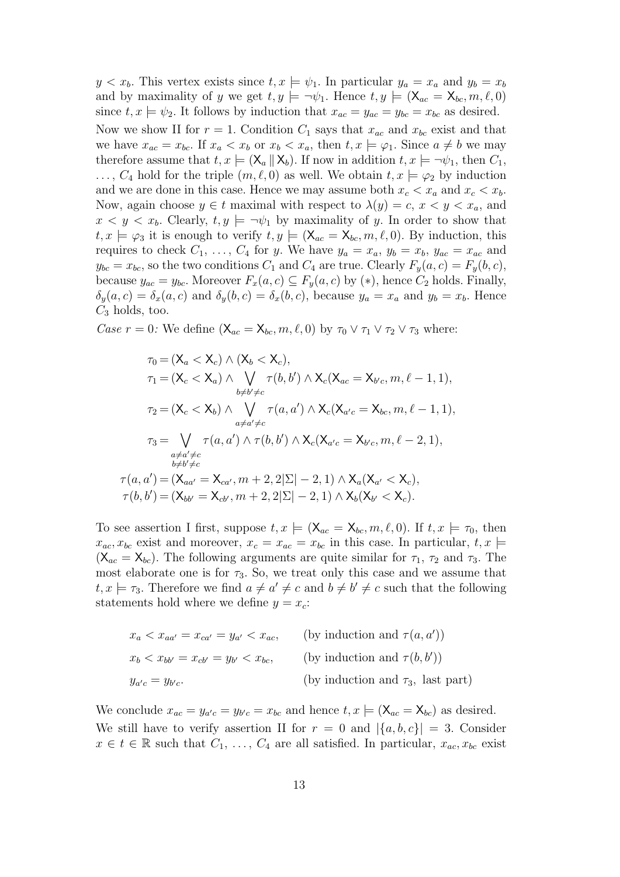$y < x_b$ . This vertex exists since  $t, x \models \psi_1$ . In particular  $y_a = x_a$  and  $y_b = x_b$ and by maximality of y we get  $t, y \models \neg \psi_1$ . Hence  $t, y \models (\mathsf{X}_{ac} = \mathsf{X}_{bc}, m, \ell, 0)$ since  $t, x \models \psi_2$ . It follows by induction that  $x_{ac} = y_{ac} = y_{bc} = x_{bc}$  as desired. Now we show II for  $r = 1$ . Condition  $C_1$  says that  $x_{ac}$  and  $x_{bc}$  exist and that we have  $x_{ac} = x_{bc}$ . If  $x_a < x_b$  or  $x_b < x_a$ , then  $t, x \models \varphi_1$ . Since  $a \neq b$  we may therefore assume that  $t, x \models (\mathsf{X}_a \mid \mathsf{X}_b)$ . If now in addition  $t, x \models \neg \psi_1$ , then  $C_1$ ,  $\ldots, C_4$  hold for the triple  $(m, \ell, 0)$  as well. We obtain  $t, x \models \varphi_2$  by induction and we are done in this case. Hence we may assume both  $x_c < x_a$  and  $x_c < x_b$ . Now, again choose  $y \in t$  maximal with respect to  $\lambda(y) = c, x \leq y \leq x_a$ , and  $x < y < x_b$ . Clearly,  $t, y \models \neg \psi_1$  by maximality of y. In order to show that  $t, x \models \varphi_3$  it is enough to verify  $t, y \models (\mathsf{X}_{ac} = \mathsf{X}_{bc}, m, \ell, 0)$ . By induction, this requires to check  $C_1, \ldots, C_4$  for y. We have  $y_a = x_a, y_b = x_b, y_{ac} = x_{ac}$  and  $y_{bc} = x_{bc}$ , so the two conditions  $C_1$  and  $C_4$  are true. Clearly  $F_y(a, c) = F_y(b, c)$ , because  $y_{ac} = y_{bc}$ . Moreover  $F_x(a, c) \subseteq F_y(a, c)$  by  $(*)$ , hence  $C_2$  holds. Finally,  $\delta_y(a, c) = \delta_x(a, c)$  and  $\delta_y(b, c) = \delta_x(b, c)$ , because  $y_a = x_a$  and  $y_b = x_b$ . Hence  $C_3$  holds, too.

Case  $r = 0$ : We define  $(X_{ac} = X_{bc}, m, \ell, 0)$  by  $\tau_0 \vee \tau_1 \vee \tau_2 \vee \tau_3$  where:

$$
\tau_0 = (\mathsf{X}_a < \mathsf{X}_c) \land (\mathsf{X}_b < \mathsf{X}_c),
$$
\n
$$
\tau_1 = (\mathsf{X}_c < \mathsf{X}_a) \land \bigvee_{b \neq b' \neq c} \tau(b, b') \land \mathsf{X}_c(\mathsf{X}_{ac} = \mathsf{X}_{b'c}, m, \ell - 1, 1),
$$
\n
$$
\tau_2 = (\mathsf{X}_c < \mathsf{X}_b) \land \bigvee_{a \neq a' \neq c} \tau(a, a') \land \mathsf{X}_c(\mathsf{X}_{a'c} = \mathsf{X}_{bc}, m, \ell - 1, 1),
$$
\n
$$
\tau_3 = \bigvee_{\substack{a \neq a' \neq c \\ b \neq b' \neq c}} \tau(a, a') \land \tau(b, b') \land \mathsf{X}_c(\mathsf{X}_{a'c} = \mathsf{X}_{b'c}, m, \ell - 2, 1),
$$
\n
$$
\tau(a, a') = (\mathsf{X}_{aa'} = \mathsf{X}_{ca'}, m + 2, 2|\Sigma| - 2, 1) \land \mathsf{X}_a(\mathsf{X}_{a'} < \mathsf{X}_c),
$$
\n
$$
\tau(b, b') = (\mathsf{X}_{bb'} = \mathsf{X}_{cb'}, m + 2, 2|\Sigma| - 2, 1) \land \mathsf{X}_b(\mathsf{X}_{b'} < \mathsf{X}_c).
$$

To see assertion I first, suppose  $t, x \models (\mathsf{X}_{ac} = \mathsf{X}_{bc}, m, \ell, 0)$ . If  $t, x \models \tau_0$ , then  $x_{ac}, x_{bc}$  exist and moreover,  $x_c = x_{ac} = x_{bc}$  in this case. In particular,  $t, x \models$  $(X_{ac} = X_{bc})$ . The following arguments are quite similar for  $\tau_1$ ,  $\tau_2$  and  $\tau_3$ . The most elaborate one is for  $\tau_3$ . So, we treat only this case and we assume that  $t, x \models \tau_3$ . Therefore we find  $a \neq a' \neq c$  and  $b \neq b' \neq c$  such that the following statements hold where we define  $y = x_c$ :

$$
x_a < x_{aa'} = x_{ca'} = y_{a'} < x_{ac}, \qquad \text{(by induction and } \tau(a, a'))
$$
\n
$$
x_b < x_{bb'} = x_{cb'} = y_{b'} < x_{bc}, \qquad \text{(by induction and } \tau(b, b'))
$$
\n
$$
y_{a'c} = y_{b'c}.
$$
\n(by induction and  $\tau_3$ , last part)

We conclude  $x_{ac} = y_{a'c} = y_{b'c} = x_{bc}$  and hence  $t, x \models (\mathsf{X}_{ac} = \mathsf{X}_{bc})$  as desired. We still have to verify assertion II for  $r = 0$  and  $|\{a, b, c\}| = 3$ . Consider  $x \in t \in \mathbb{R}$  such that  $C_1, \ldots, C_4$  are all satisfied. In particular,  $x_{ac}, x_{bc}$  exist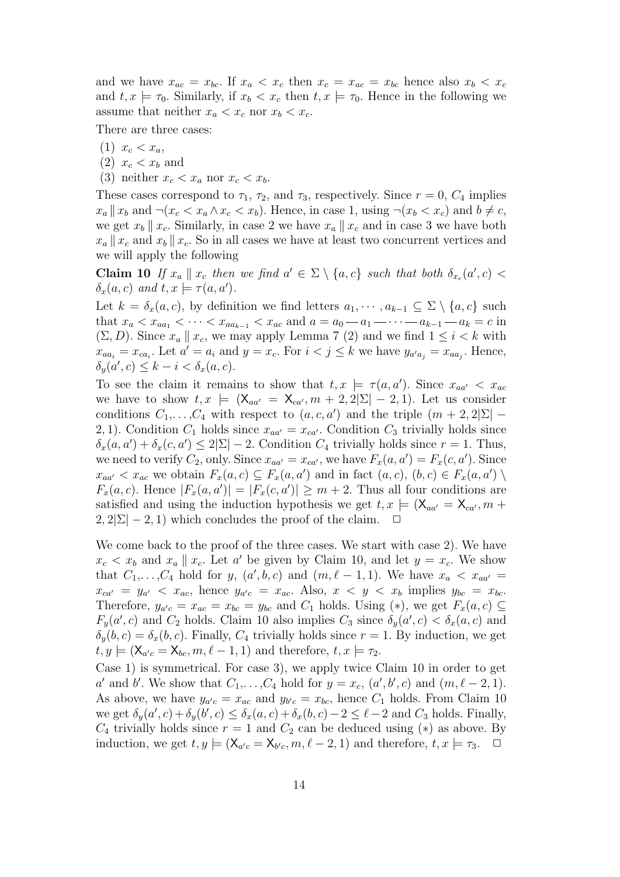and we have  $x_{ac} = x_{bc}$ . If  $x_a < x_c$  then  $x_c = x_{ac} = x_{bc}$  hence also  $x_b < x_c$ and  $t, x \models \tau_0$ . Similarly, if  $x_b < x_c$  then  $t, x \models \tau_0$ . Hence in the following we assume that neither  $x_a < x_c$  nor  $x_b < x_c$ .

There are three cases:

- $(1)$   $x_c < x_a$ ,
- $(2)$   $x_c < x_b$  and
- (3) neither  $x_c < x_a$  nor  $x_c < x_b$ .

These cases correspond to  $\tau_1$ ,  $\tau_2$ , and  $\tau_3$ , respectively. Since  $r = 0$ ,  $C_4$  implies  $x_a || x_b$  and  $\neg (x_c < x_a \land x_c < x_b)$ . Hence, in case 1, using  $\neg (x_b < x_c)$  and  $b \neq c$ , we get  $x_b \parallel x_c$ . Similarly, in case 2 we have  $x_a \parallel x_c$  and in case 3 we have both  $x_a \parallel x_c$  and  $x_b \parallel x_c$ . So in all cases we have at least two concurrent vertices and we will apply the following

**Claim 10** If  $x_a \parallel x_c$  then we find  $a' \in \Sigma \setminus \{a, c\}$  such that both  $\delta_{x_c}(a', c)$  $\delta_x(a,c)$  and  $t, x \models \tau(a,a')$ .

Let  $k = \delta_x(a, c)$ , by definition we find letters  $a_1, \dots, a_{k-1} \subseteq \Sigma \setminus \{a, c\}$  such that  $x_a < x_{aa_1} < \cdots < x_{aa_{k-1}} < x_{ac}$  and  $a = a_0 - a_1 - \cdots - a_{k-1} - a_k = c$  in  $(\Sigma, D)$ . Since  $x_a \parallel x_c$ , we may apply Lemma 7 (2) and we find  $1 \leq i \leq k$  with  $x_{aa_i} = x_{ca_i}$ . Let  $a' = a_i$  and  $y = x_c$ . For  $i < j \le k$  we have  $y_{a'a_j} = x_{aa_j}$ . Hence,  $\delta_y(a',c) \leq k - i < \delta_x(a,c).$ 

To see the claim it remains to show that  $t, x \models \tau(a, a')$ . Since  $x_{aa'} < x_{ac}$ we have to show  $t, x \models (\mathsf{X}_{aa'} = \mathsf{X}_{ca'}, m + 2, 2|\Sigma| - 2, 1)$ . Let us consider conditions  $C_1, \ldots, C_4$  with respect to  $(a, c, a')$  and the triple  $(m + 2, 2|\Sigma|$  – 2, 1). Condition  $C_1$  holds since  $x_{aa'} = x_{ca'}$ . Condition  $C_3$  trivially holds since  $\delta_x(a, a') + \delta_x(c, a') \leq 2|\Sigma| - 2$ . Condition  $C_4$  trivially holds since  $r = 1$ . Thus, we need to verify  $C_2$ , only. Since  $x_{aa'} = x_{ca'}$ , we have  $F_x(a, a') = F_x(c, a')$ . Since  $x_{aa'} < x_{ac}$  we obtain  $F_x(a, c) \subseteq F_x(a, a')$  and in fact  $(a, c), (b, c) \in F_x(a, a') \setminus F_x(a, a')$  $F_x(a, c)$ . Hence  $|F_x(a, a')| = |F_x(c, a')| \geq m + 2$ . Thus all four conditions are satisfied and using the induction hypothesis we get  $t, x \models (\mathsf{X}_{aa'} = \mathsf{X}_{ca'}, m +$  $2, 2|\Sigma| - 2, 1$  which concludes the proof of the claim.  $\Box$ 

We come back to the proof of the three cases. We start with case 2). We have  $x_c < x_b$  and  $x_a \parallel x_c$ . Let a' be given by Claim 10, and let  $y = x_c$ . We show that  $C_1, \ldots, C_4$  hold for y,  $(a', b, c)$  and  $(m, \ell - 1, 1)$ . We have  $x_a < x_{aa'} =$  $x_{ca'} = y_{a'} < x_{ac}$ , hence  $y_{a'c} = x_{ac}$ . Also,  $x < y < x_b$  implies  $y_{bc} = x_{bc}$ . Therefore,  $y_{a'c} = x_{ac} = x_{bc} = y_{bc}$  and  $C_1$  holds. Using (\*), we get  $F_x(a, c) \subseteq$  $F_y(a', c)$  and  $C_2$  holds. Claim 10 also implies  $C_3$  since  $\delta_y(a', c) < \delta_x(a, c)$  and  $\delta_y(b,c) = \delta_x(b,c)$ . Finally,  $C_4$  trivially holds since  $r = 1$ . By induction, we get  $t, y \models (\mathsf{X}_{a'c} = \mathsf{X}_{bc}, m, \ell - 1, 1)$  and therefore,  $t, x \models \tau_2$ .

Case 1) is symmetrical. For case 3), we apply twice Claim 10 in order to get a' and b'. We show that  $C_1, \ldots, C_4$  hold for  $y = x_c$ ,  $(a', b', c)$  and  $(m, \ell - 2, 1)$ . As above, we have  $y_{a'c} = x_{ac}$  and  $y_{b'c} = x_{bc}$ , hence  $C_1$  holds. From Claim 10 we get  $\delta_y(a',c) + \delta_y(b',c) \leq \delta_x(a,c) + \delta_x(b,c) - 2 \leq \ell - 2$  and  $C_3$  holds. Finally,  $C_4$  trivially holds since  $r = 1$  and  $C_2$  can be deduced using (\*) as above. By induction, we get  $t, y \models (\mathsf{X}_{a'c} = \mathsf{X}_{b'c}, m, \ell - 2, 1)$  and therefore,  $t, x \models \tau_3$ .  $\Box$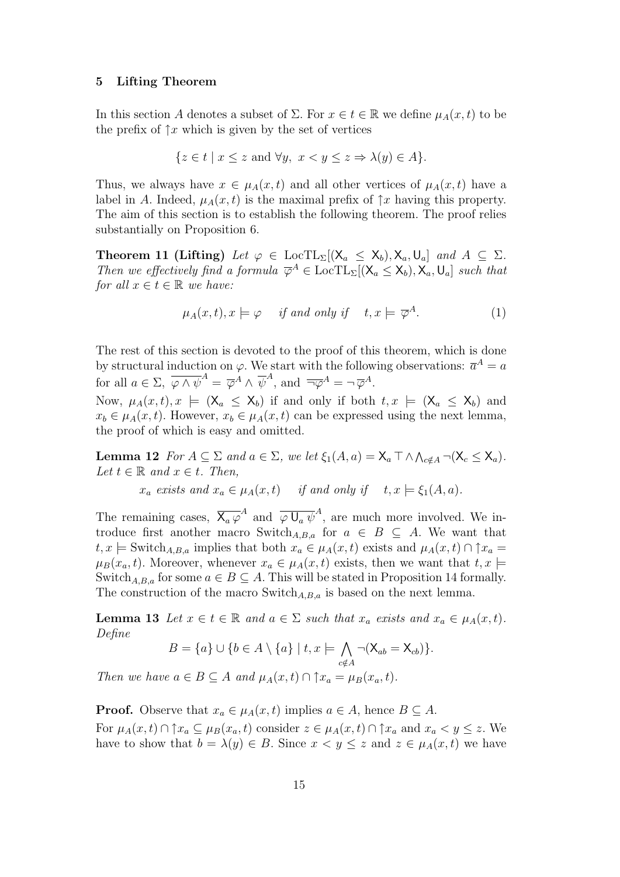#### 5 Lifting Theorem

In this section A denotes a subset of  $\Sigma$ . For  $x \in t \in \mathbb{R}$  we define  $\mu_A(x, t)$  to be the prefix of  $\uparrow x$  which is given by the set of vertices

$$
\{z \in t \mid x \le z \text{ and } \forall y, \ x < y \le z \Rightarrow \lambda(y) \in A\}.
$$

Thus, we always have  $x \in \mu_A(x, t)$  and all other vertices of  $\mu_A(x, t)$  have a label in A. Indeed,  $\mu_A(x, t)$  is the maximal prefix of  $\uparrow x$  having this property. The aim of this section is to establish the following theorem. The proof relies substantially on Proposition 6.

Theorem 11 (Lifting) Let  $\varphi \in \text{LocTL}_{\Sigma}[(X_a \le X_b), X_a, U_a]$  and  $A \subseteq \Sigma$ . Then we effectively find a formula  $\overline{\varphi}^A \in \text{LocTL}_{\Sigma}[(X_a \le X_b), X_a, U_a]$  such that for all  $x \in t \in \mathbb{R}$  we have:

$$
\mu_A(x,t), x \models \varphi \quad \text{if and only if} \quad t, x \models \overline{\varphi}^A. \tag{1}
$$

The rest of this section is devoted to the proof of this theorem, which is done by structural induction on  $\varphi$ . We start with the following observations:  $\bar{a}^A = a$ for all  $a \in \Sigma$ ,  $\overline{\varphi \wedge \psi}^A = \overline{\varphi}^A \wedge \overline{\psi}^A$ , and  $\overline{\neg \varphi}^A = \neg \overline{\varphi}^A$ .

Now,  $\mu_A(x,t), x \models (\mathsf{X}_a \leq \mathsf{X}_b)$  if and only if both  $t, x \models (\mathsf{X}_a \leq \mathsf{X}_b)$  and  $x_b \in \mu_A(x, t)$ . However,  $x_b \in \mu_A(x, t)$  can be expressed using the next lemma, the proof of which is easy and omitted.

**Lemma 12** For  $A \subseteq \Sigma$  and  $a \in \Sigma$ , we let  $\xi_1(A, a) = \mathsf{X}_a \top \wedge \bigwedge_{c \notin A} \neg (\mathsf{X}_c \leq \mathsf{X}_a)$ . Let  $t \in \mathbb{R}$  and  $x \in t$ . Then,

 $x_a$  exists and  $x_a \in \mu_A(x, t)$  if and only if  $t, x \models \xi_1(A, a)$ .

The remaining cases,  $\overline{X_a \varphi}^A$  and  $\overline{\varphi U_a \psi}^A$ , are much more involved. We introduce first another macro Switch<sub>A,B,a</sub> for  $a \in B \subseteq A$ . We want that t, x  $\models$  Switch<sub>A,B,a</sub> implies that both  $x_a \in \mu_A(x, t)$  exists and  $\mu_A(x, t) \cap \uparrow x_a =$  $\mu_B(x_a, t)$ . Moreover, whenever  $x_a \in \mu_A(x, t)$  exists, then we want that  $t, x \models$ Switch<sub>A,B,a</sub> for some  $a \in B \subseteq A$ . This will be stated in Proposition 14 formally. The construction of the macro Switch<sub>A,B,a</sub> is based on the next lemma.

**Lemma 13** Let  $x \in t \in \mathbb{R}$  and  $a \in \Sigma$  such that  $x_a$  exists and  $x_a \in \mu_A(x, t)$ . Define

$$
B = \{a\} \cup \{b \in A \setminus \{a\} \mid t, x \models \bigwedge_{c \notin A} \neg (\mathsf{X}_{ab} = \mathsf{X}_{cb})\}.
$$

Then we have  $a \in B \subseteq A$  and  $\mu_A(x, t) \cap \uparrow x_a = \mu_B(x_a, t)$ .

**Proof.** Observe that  $x_a \in \mu_A(x, t)$  implies  $a \in A$ , hence  $B \subseteq A$ . For  $\mu_A(x, t) \cap \uparrow x_a \subseteq \mu_B(x_a, t)$  consider  $z \in \mu_A(x, t) \cap \uparrow x_a$  and  $x_a < y \leq z$ . We have to show that  $b = \lambda(y) \in B$ . Since  $x < y \leq z$  and  $z \in \mu_A(x, t)$  we have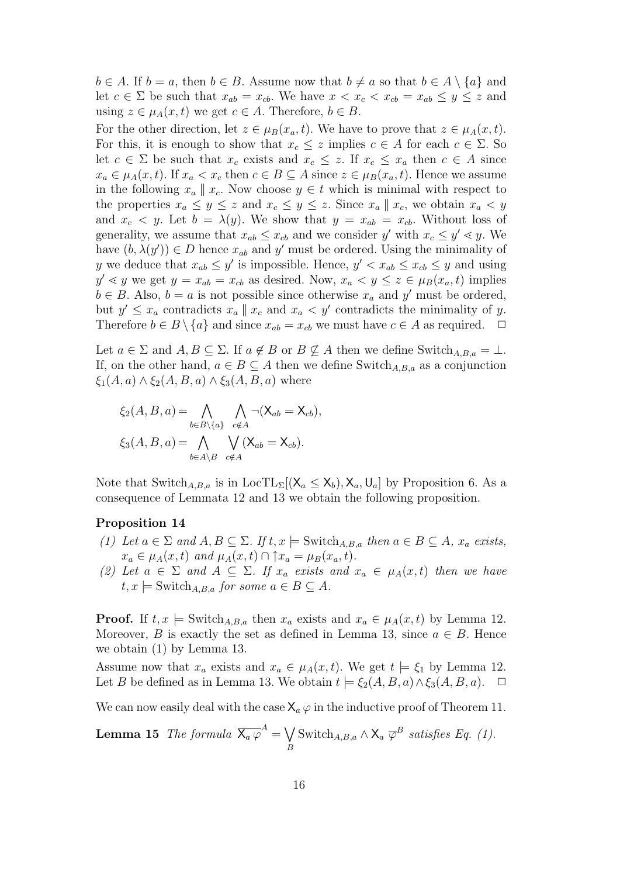$b \in A$ . If  $b = a$ , then  $b \in B$ . Assume now that  $b \neq a$  so that  $b \in A \setminus \{a\}$  and let  $c \in \Sigma$  be such that  $x_{ab} = x_{cb}$ . We have  $x < x_c < x_{cb} = x_{ab} \leq y \leq z$  and using  $z \in \mu_A(x, t)$  we get  $c \in A$ . Therefore,  $b \in B$ .

For the other direction, let  $z \in \mu_B(x_a, t)$ . We have to prove that  $z \in \mu_A(x, t)$ . For this, it is enough to show that  $x_c \leq z$  implies  $c \in A$  for each  $c \in \Sigma$ . So let  $c \in \Sigma$  be such that  $x_c$  exists and  $x_c \leq z$ . If  $x_c \leq x_a$  then  $c \in A$  since  $x_a \in \mu_A(x, t)$ . If  $x_a < x_c$  then  $c \in B \subseteq A$  since  $z \in \mu_B(x_a, t)$ . Hence we assume in the following  $x_a \parallel x_c$ . Now choose  $y \in t$  which is minimal with respect to the properties  $x_a \leq y \leq z$  and  $x_c \leq y \leq z$ . Since  $x_a \parallel x_c$ , we obtain  $x_a < y$ and  $x_c < y$ . Let  $b = \lambda(y)$ . We show that  $y = x_{ab} = x_{cb}$ . Without loss of generality, we assume that  $x_{ab} \leq x_{cb}$  and we consider y' with  $x_c \leq y' \leq y$ . We have  $(b, \lambda(y')) \in D$  hence  $x_{ab}$  and y' must be ordered. Using the minimality of y we deduce that  $x_{ab} \le y'$  is impossible. Hence,  $y' < x_{ab} \le x_{cb} \le y$  and using  $y' \leq y$  we get  $y = x_{ab} = x_{cb}$  as desired. Now,  $x_a \leq y \leq z \in \mu_B(x_a, t)$  implies  $b \in B$ . Also,  $b = a$  is not possible since otherwise  $x_a$  and  $y'$  must be ordered, but  $y' \leq x_a$  contradicts  $x_a \parallel x_c$  and  $x_a < y'$  contradicts the minimality of y. Therefore  $b \in B \setminus \{a\}$  and since  $x_{ab} = x_{cb}$  we must have  $c \in A$  as required.  $\Box$ 

Let  $a \in \Sigma$  and  $A, B \subseteq \Sigma$ . If  $a \notin B$  or  $B \nsubseteq A$  then we define Switch $_{A,B,a} = \bot$ . If, on the other hand,  $a \in B \subseteq A$  then we define Switch<sub>A,B,a</sub> as a conjunction  $\xi_1(A, a) \wedge \xi_2(A, B, a) \wedge \xi_3(A, B, a)$  where

$$
\xi_2(A, B, a) = \bigwedge_{b \in B \setminus \{a\}} \bigwedge_{c \notin A} \neg (\mathsf{X}_{ab} = \mathsf{X}_{cb}),
$$
  

$$
\xi_3(A, B, a) = \bigwedge_{b \in A \setminus B} \bigvee_{c \notin A} (\mathsf{X}_{ab} = \mathsf{X}_{cb}).
$$

Note that Switch<sub>A,B,a</sub> is in LocTL<sub>Σ</sub>[( $\mathsf{X}_a \leq \mathsf{X}_b$ ),  $\mathsf{X}_a$ ,  $\mathsf{U}_a$ ] by Proposition 6. As a consequence of Lemmata 12 and 13 we obtain the following proposition.

## Proposition 14

- (1) Let  $a \in \Sigma$  and  $A, B \subseteq \Sigma$ . If  $t, x \models$  Switch<sub>A,B,a</sub> then  $a \in B \subseteq A$ ,  $x_a$  exists,  $x_a \in \mu_A(x, t)$  and  $\mu_A(x, t) \cap \uparrow x_a = \mu_B(x_a, t)$ .
- (2) Let  $a \in \Sigma$  and  $A \subseteq \Sigma$ . If  $x_a$  exists and  $x_a \in \mu_A(x,t)$  then we have  $t, x \models$  Switch<sub>A,B,a</sub> for some  $a \in B \subseteq A$ .

**Proof.** If  $t, x \models$  Switch<sub>A,B,a</sub> then  $x_a$  exists and  $x_a \in \mu_A(x, t)$  by Lemma 12. Moreover, B is exactly the set as defined in Lemma 13, since  $a \in B$ . Hence we obtain (1) by Lemma 13.

Assume now that  $x_a$  exists and  $x_a \in \mu_A(x, t)$ . We get  $t \models \xi_1$  by Lemma 12. Let B be defined as in Lemma 13. We obtain  $t \models \xi_2(A, B, a) \land \xi_3(A, B, a)$ .  $\Box$ 

We can now easily deal with the case  $X_a \varphi$  in the inductive proof of Theorem 11.

**Lemma 15** The formula 
$$
\overline{X_a \varphi}^A = \bigvee_B
$$
 Switch<sub>A,B,a</sub>  $\wedge X_a \overline{\varphi}^B$  satisfies Eq. (1).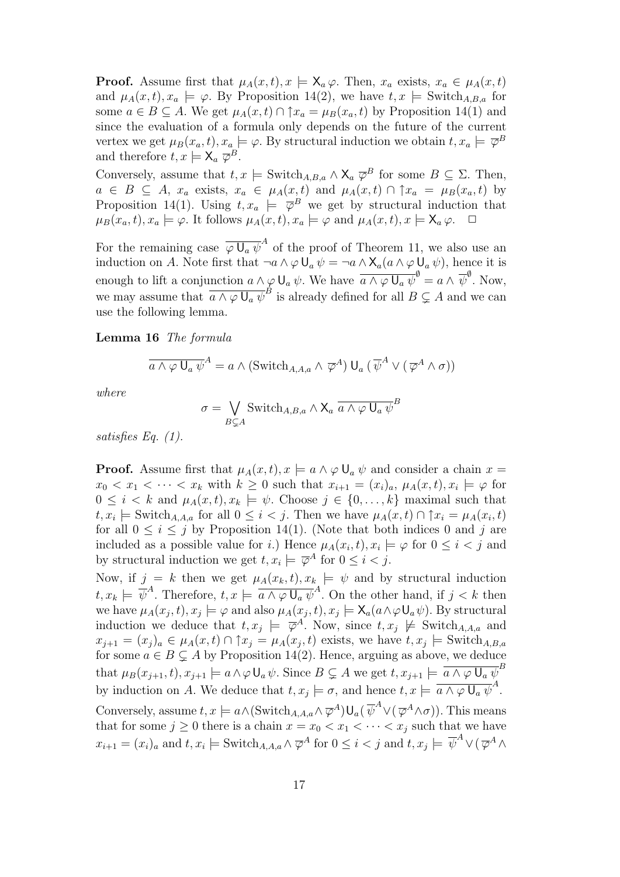**Proof.** Assume first that  $\mu_A(x, t), x \models \mathsf{X}_a \varphi$ . Then,  $x_a$  exists,  $x_a \in \mu_A(x, t)$ and  $\mu_A(x, t), x_a \models \varphi$ . By Proposition 14(2), we have  $t, x \models$  Switch<sub>A,B,a</sub> for some  $a \in B \subseteq A$ . We get  $\mu_A(x, t) \cap \uparrow x_a = \mu_B(x_a, t)$  by Proposition 14(1) and since the evaluation of a formula only depends on the future of the current vertex we get  $\mu_B(x_a, t), x_a \models \varphi$ . By structural induction we obtain  $t, x_a \models \overline{\varphi}^B$ and therefore  $t, x \models \mathsf{X}_a \ \overline{\varphi}^B$ .

Conversely, assume that  $t, x \models \text{Switch}_{A,B,a} \wedge \mathsf{X}_a \ \overline{\varphi}^B$  for some  $B \subseteq \Sigma$ . Then,  $a \in B \subseteq A$ ,  $x_a$  exists,  $x_a \in \mu_A(x,t)$  and  $\mu_A(x,t) \cap \uparrow x_a = \mu_B(x_a,t)$  by Proposition 14(1). Using  $t, x_a \models \overline{\varphi}^B$  we get by structural induction that  $\mu_B(x_a, t), x_a \models \varphi$ . It follows  $\mu_A(x, t), x_a \models \varphi$  and  $\mu_A(x, t), x \models \mathsf{X}_a \varphi$ .  $\Box$ 

For the remaining case  $\overline{\varphi U_a \psi}^A$  of the proof of Theorem 11, we also use an induction on A. Note first that  $\neg a \wedge \varphi \mathsf{U}_a \psi = \neg a \wedge \mathsf{X}_a (a \wedge \varphi \mathsf{U}_a \psi)$ , hence it is enough to lift a conjunction  $a \wedge \varphi \cup_a \psi$ . We have  $\overline{a \wedge \varphi \cup_a \psi}^{\emptyset} = a \wedge \overline{\psi}^{\emptyset}$ . Now, we may assume that  $\overline{a \wedge \varphi \cup_a \psi}^B$  is already defined for all  $B \subsetneq A$  and we can use the following lemma.

Lemma 16 The formula

$$
\overline{a \wedge \varphi \mathsf{U}_a \psi}^A = a \wedge (\mathrm{Switch}_{A,A,a} \wedge \overline{\varphi}^A) \mathsf{U}_a (\overline{\psi}^A \vee (\overline{\varphi}^A \wedge \sigma))
$$

where

$$
\sigma = \bigvee_{B \subsetneq A} \text{Switch}_{A,B,a} \wedge \mathsf{X}_a \, \overline{a \wedge \varphi \, \mathsf{U}_a \, \psi}^B
$$

satisfies Eq. (1).

**Proof.** Assume first that  $\mu_A(x, t)$ ,  $x \models a \land \varphi \cup_a \psi$  and consider a chain  $x =$  $x_0 < x_1 < \cdots < x_k$  with  $k \geq 0$  such that  $x_{i+1} = (x_i)_a, \mu_A(x, t), x_i \models \varphi$  for  $0 \leq i < k$  and  $\mu_A(x, t), x_k \models \psi$ . Choose  $j \in \{0, \ldots, k\}$  maximal such that  $t, x_i \models \text{Switch}_{A,A,a} \text{ for all } 0 \leq i < j. \text{ Then we have } \mu_A(x,t) \cap \uparrow x_i = \mu_A(x_i,t)$ for all  $0 \leq i \leq j$  by Proposition 14(1). (Note that both indices 0 and j are included as a possible value for i.) Hence  $\mu_A(x_i, t), x_i \models \varphi$  for  $0 \leq i < j$  and by structural induction we get  $t, x_i \models \overline{\varphi}^A$  for  $0 \leq i < j$ .

Now, if  $j = k$  then we get  $\mu_A(x_k, t), x_k \models \psi$  and by structural induction  $t, x_k \models \overline{\psi}^A$ . Therefore,  $t, x \models \overline{a \wedge \varphi \cup_a \psi}^A$ . On the other hand, if  $j < k$  then we have  $\mu_A(x_j, t), x_j \models \varphi$  and also  $\mu_A(x_j, t), x_j \models \mathsf{X}_a(a \wedge \varphi \mathsf{U}_a \psi)$ . By structural induction we deduce that  $t, x_j \models \overline{\varphi}^A$ . Now, since  $t, x_j \not\models$  Switch<sub>A,A,a</sub> and  $x_{j+1} = (x_j)_a \in \mu_A(x,t) \cap \uparrow x_j = \mu_A(x_j,t)$  exists, we have  $t, x_j \models$  Switch $_{A,B,a}$ for some  $a \in B \subsetneq A$  by Proposition 14(2). Hence, arguing as above, we deduce that  $\mu_B(x_{j+1}, t), x_{j+1} \models a \land \varphi \mathsf{U}_a \psi$ . Since  $B \subsetneq A$  we get  $t, x_{j+1} \models \overline{a \land \varphi \mathsf{U}_a \psi}^B$ by induction on A. We deduce that  $t, x_j \models \sigma$ , and hence  $t, x \models \overline{a \wedge \varphi \cup_a \psi}^A$ . Conversely, assume  $t, x \models a \wedge (\text{Switch}_{A,A,a} \wedge \overline{\varphi}^A) \mathsf{U}_a(\overline{\psi}^A \vee (\overline{\varphi}^A \wedge \sigma)).$  This means that for some  $j \geq 0$  there is a chain  $x = x_0 < x_1 < \cdots < x_j$  such that we have  $x_{i+1} = (x_i)_a$  and  $t, x_i \models$  Switch $A, A, a \land \overline{\varphi}^A$  for  $0 \leq i < j$  and  $t, x_j \models \overline{\psi}^A \lor (\overline{\varphi}^A \land \overline{\varphi}^A)$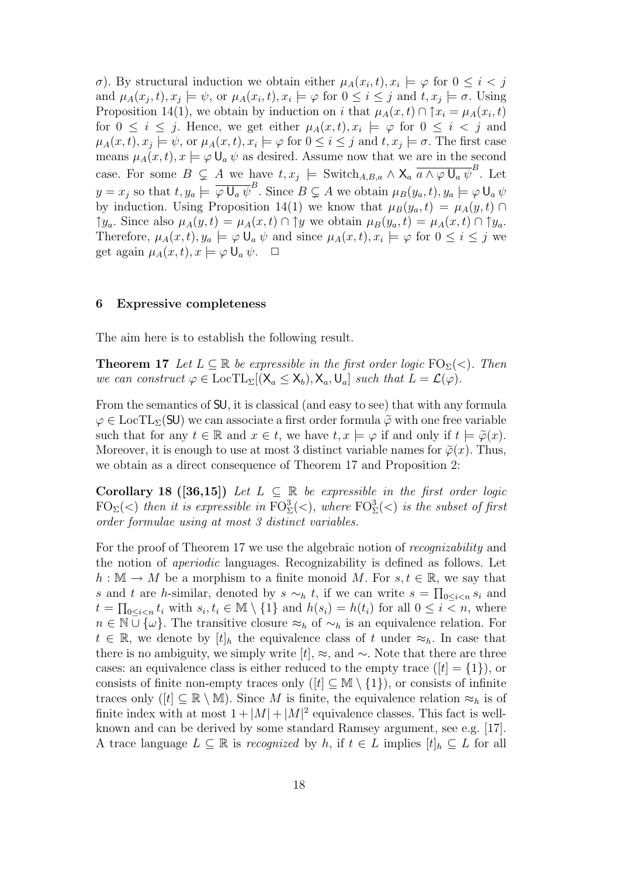σ). By structural induction we obtain either  $\mu_A(x_i,t), x_i \models \varphi$  for  $0 \leq i < j$ and  $\mu_A(x_j,t), x_j \models \psi$ , or  $\mu_A(x_i,t), x_i \models \varphi$  for  $0 \leq i \leq j$  and  $t, x_j \models \sigma$ . Using Proposition 14(1), we obtain by induction on i that  $\mu_A(x,t) \cap \uparrow x_i = \mu_A(x_i,t)$ for  $0 \leq i \leq j$ . Hence, we get either  $\mu_A(x,t), x_i \models \varphi$  for  $0 \leq i \leq j$  and  $\mu_A(x,t), x_j \models \psi$ , or  $\mu_A(x,t), x_i \models \varphi$  for  $0 \leq i \leq j$  and  $t, x_j \models \sigma$ . The first case means  $\mu_A(x, t), x \models \varphi \mathsf{U}_a \psi$  as desired. Assume now that we are in the second case. For some  $B \subsetneq A$  we have  $t, x_j \models$  Switch<sub>A,B,a</sub>  $\wedge \mathsf{X}_a$   $\overline{a \wedge \varphi \cup_a \psi}^B$ . Let  $y = x_j$  so that  $t, y_a \models \overline{\varphi \cup_a \psi}^B$ . Since  $B \subsetneq A$  we obtain  $\mu_B(y_a, t), y_a \models \varphi \cup_a \psi$ by induction. Using Proposition 14(1) we know that  $\mu_B(y_a, t) = \mu_A(y, t) \cap$  $\uparrow y_a$ . Since also  $\mu_A(y, t) = \mu_A(x, t) \cap \uparrow y$  we obtain  $\mu_B(y_a, t) = \mu_A(x, t) \cap \uparrow y_a$ . Therefore,  $\mu_A(x,t), y_a \models \varphi \mathsf{U}_a \psi$  and since  $\mu_A(x,t), x_i \models \varphi$  for  $0 \leq i \leq j$  we get again  $\mu_A(x, t), x \models \varphi \mathsf{U}_a \psi$ .  $\Box$ 

#### 6 Expressive completeness

The aim here is to establish the following result.

**Theorem 17** Let  $L \subseteq \mathbb{R}$  be expressible in the first order logic  $FO_{\Sigma}(\leq)$ . Then we can construct  $\varphi \in \text{LocTL}_{\Sigma}[(X_a \le X_b), X_a, U_a]$  such that  $L = \mathcal{L}(\varphi)$ .

From the semantics of SU, it is classical (and easy to see) that with any formula  $\varphi \in \text{LocTL}_{\Sigma}(\text{SU})$  we can associate a first order formula  $\tilde{\varphi}$  with one free variable such that for any  $t \in \mathbb{R}$  and  $x \in t$ , we have  $t, x \models \varphi$  if and only if  $t \models \tilde{\varphi}(x)$ . Moreover, it is enough to use at most 3 distinct variable names for  $\tilde{\varphi}(x)$ . Thus, we obtain as a direct consequence of Theorem 17 and Proposition 2:

Corollary 18 ([36,15]) Let  $L \subseteq \mathbb{R}$  be expressible in the first order logic  $\text{FO}_{\Sigma}(<)$  then it is expressible in  $\text{FO}_{\Sigma}^{3}(<)$ , where  $\text{FO}_{\Sigma}^{3}(<)$  is the subset of first order formulae using at most 3 distinct variables.

For the proof of Theorem 17 we use the algebraic notion of recognizability and the notion of aperiodic languages. Recognizability is defined as follows. Let  $h : \mathbb{M} \to M$  be a morphism to a finite monoid M. For  $s, t \in \mathbb{R}$ , we say that s and t are h-similar, denoted by  $s \sim_h t$ , if we can write  $s = \prod_{0 \leq i < n} s_i$  and  $t = \prod_{0 \leq i < n} t_i$  with  $s_i, t_i \in \mathbb{M} \setminus \{1\}$  and  $h(s_i) = h(t_i)$  for all  $0 \leq i < n$ , where  $n \in \mathbb{N} \cup \{\omega\}.$  The transitive closure  $\approx_h 0 \leq \gamma_h$  is an equivalence relation. For  $t \in \mathbb{R}$ , we denote by  $[t]_h$  the equivalence class of t under  $\approx_h$ . In case that there is no ambiguity, we simply write  $[t], \approx$ , and  $\sim$ . Note that there are three cases: an equivalence class is either reduced to the empty trace  $([t] = \{1\})$ , or consists of finite non-empty traces only  $([t] \subseteq M \setminus \{1\})$ , or consists of infinite traces only  $([t] \subseteq \mathbb{R} \setminus \mathbb{M})$ . Since M is finite, the equivalence relation  $\approx_h$  is of finite index with at most  $1 + |M| + |M|^2$  equivalence classes. This fact is wellknown and can be derived by some standard Ramsey argument, see e.g. [17]. A trace language  $L \subseteq \mathbb{R}$  is *recognized* by h, if  $t \in L$  implies  $[t]_h \subseteq L$  for all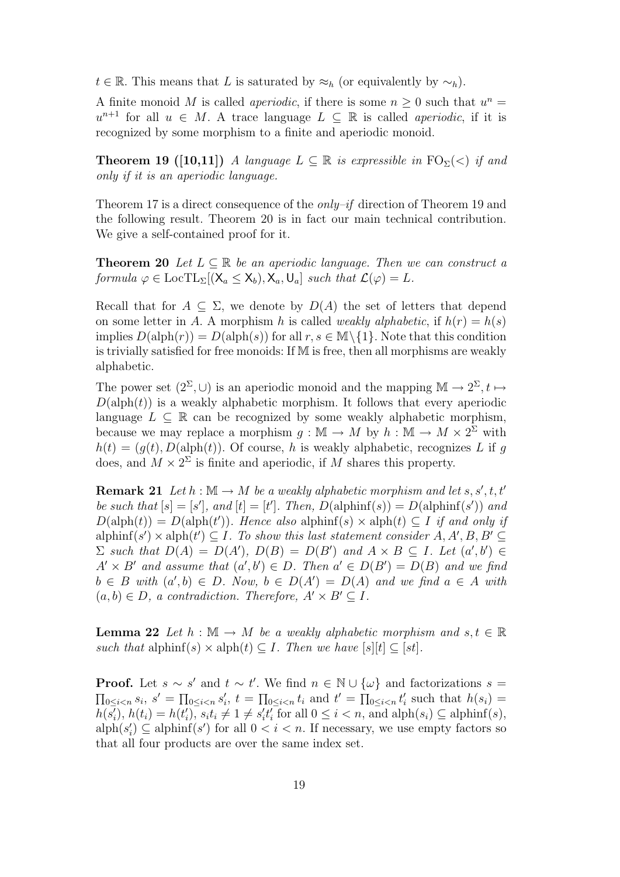$t \in \mathbb{R}$ . This means that L is saturated by  $\approx_h$  (or equivalently by  $\sim_h$ ).

A finite monoid M is called *aperiodic*, if there is some  $n \geq 0$  such that  $u^n =$  $u^{n+1}$  for all  $u \in M$ . A trace language  $L \subseteq \mathbb{R}$  is called *aperiodic*, if it is recognized by some morphism to a finite and aperiodic monoid.

**Theorem 19** ([10,11]) A language  $L \subseteq \mathbb{R}$  is expressible in  $FO_{\Sigma}(\leq)$  if and only if it is an aperiodic language.

Theorem 17 is a direct consequence of the *only–if* direction of Theorem 19 and the following result. Theorem 20 is in fact our main technical contribution. We give a self-contained proof for it.

**Theorem 20** Let  $L \subseteq \mathbb{R}$  be an aperiodic language. Then we can construct a formula  $\varphi \in \text{LocTL}_{\Sigma}[(X_a \leq X_b), X_a, U_a]$  such that  $\mathcal{L}(\varphi) = L$ .

Recall that for  $A \subseteq \Sigma$ , we denote by  $D(A)$  the set of letters that depend on some letter in A. A morphism h is called *weakly alphabetic*, if  $h(r) = h(s)$ implies  $D(\text{alph}(r)) = D(\text{alph}(s))$  for all  $r, s \in \mathbb{M}\setminus\{1\}$ . Note that this condition is trivially satisfied for free monoids: If M is free, then all morphisms are weakly alphabetic.

The power set  $(2^{\Sigma}, \cup)$  is an aperiodic monoid and the mapping  $\mathbb{M} \to 2^{\Sigma}, t \mapsto$  $D(\text{alph}(t))$  is a weakly alphabetic morphism. It follows that every aperiodic language  $L \subseteq \mathbb{R}$  can be recognized by some weakly alphabetic morphism, because we may replace a morphism  $g : \mathbb{M} \to M$  by  $h : \mathbb{M} \to M \times 2^{\Sigma}$  with  $h(t) = (g(t), D(\text{alph}(t))$ . Of course, h is weakly alphabetic, recognizes L if g does, and  $M \times 2^{\Sigma}$  is finite and aperiodic, if M shares this property.

**Remark 21** Let  $h : \mathbb{M} \to M$  be a weakly alphabetic morphism and let  $s, s', t, t'$ be such that  $[s] = [s']$ , and  $[t] = [t']$ . Then,  $D(\text{alphinf}(s)) = D(\text{alphinf}(s'))$  and  $D(\text{alph}(t)) = D(\text{alph}(t'))$ . Hence also alphinf(s) × alph(t)  $\subseteq I$  if and only if alphinf(s')  $\times$  alph(t')  $\subseteq$  *I*. To show this last statement consider A, A', B, B'  $\subseteq$  $\Sigma$  such that  $D(A) = D(A')$ ,  $D(B) = D(B')$  and  $A \times B \subseteq I$ . Let  $(a', b') \in$  $A' \times B'$  and assume that  $(a', b') \in D$ . Then  $a' \in D(B') = D(B)$  and we find  $b \in B$  with  $(a', b) \in D$ . Now,  $b \in D(A') = D(A)$  and we find  $a \in A$  with  $(a, b) \in D$ , a contradiction. Therefore,  $A' \times B' \subseteq I$ .

**Lemma 22** Let  $h : \mathbb{M} \to M$  be a weakly alphabetic morphism and  $s, t \in \mathbb{R}$ such that alphinf(s)  $\times$  alph(t)  $\subseteq$  *I*. Then we have [s][t]  $\subseteq$  [st].

**Proof.** Let  $s \sim s'$  and  $t \sim t'$ . We find  $n \in \mathbb{N} \cup \{\omega\}$  and factorizations  $s =$  $\prod_{0 \leq i < n} s_i, s' = \prod_{0 \leq i < n} s'_i, t = \prod_{0 \leq i < n} t_i \text{ and } t' = \prod_{0 \leq i < n} t'_i \text{ such that } h(s_i) =$  $h(\overline{s_i}), h(t_i) = h(t'_i), \overline{s_i t_i \neq 1 \neq s'_i t'_i}$  for all  $0 \leq i < n$ , and  $\text{alph}(s_i) \subseteq \text{alphinf}(s)$ ,  $\text{alph}(s_i') \subseteq \text{alphinf}(s')$  for all  $0 < i < n$ . If necessary, we use empty factors so that all four products are over the same index set.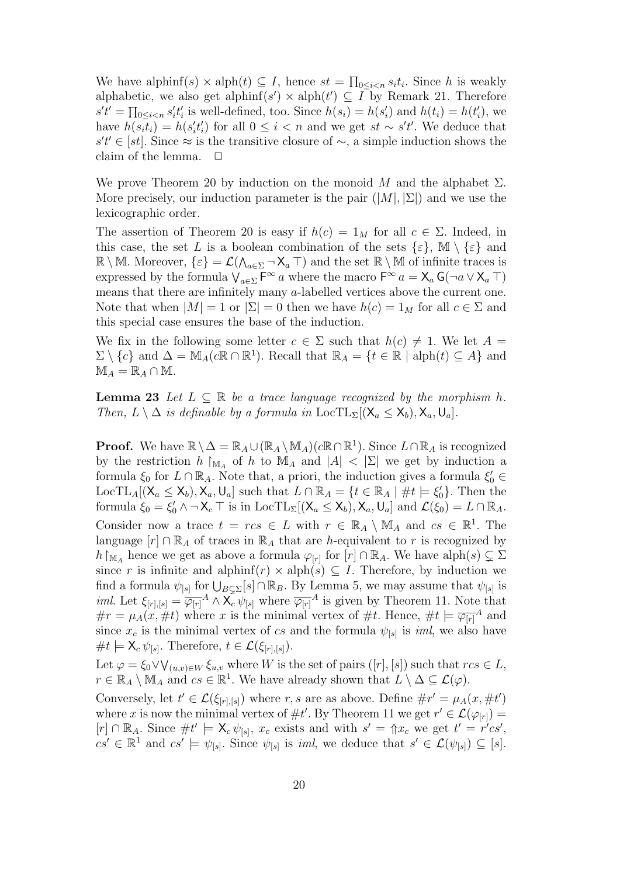We have alphinf(s)  $\times$  alph(t)  $\subseteq$  I, hence  $st = \prod_{0 \leq i < n} s_i t_i$ . Since h is weakly alphabetic, we also get alphinf(s')  $\times$  alph(t')  $\subseteq$  I by Remark 21. Therefore  $s't' = \prod_{0 \le i < n} s'_i t'_i$  is well-defined, too. Since  $h(s_i) = h(s'_i)$  and  $h(t_i) = h(t'_i)$ , we have  $h(s_it_i) = h(s_i't_i')$  for all  $0 \leq i < n$  and we get  $st \sim s't'$ . We deduce that  $s't' \in [st]$ . Since ≈ is the transitive closure of ~, a simple induction shows the claim of the lemma.  $\Box$ 

We prove Theorem 20 by induction on the monoid M and the alphabet  $\Sigma$ . More precisely, our induction parameter is the pair  $(|M|, |\Sigma|)$  and we use the lexicographic order.

The assertion of Theorem 20 is easy if  $h(c) = 1_M$  for all  $c \in \Sigma$ . Indeed, in this case, the set L is a boolean combination of the sets  $\{\varepsilon\}$ ,  $\mathbb{M} \setminus \{\varepsilon\}$  and  $\mathbb{R}\setminus\mathbb{M}$ . Moreover,  $\{\varepsilon\}=\mathcal{L}(\bigwedge_{a\in\Sigma}\neg\mathsf{X}_a\top)$  and the set  $\mathbb{R}\setminus\mathbb{M}$  of infinite traces is expressed by the formula  $\bigvee_{a \in \Sigma} \mathsf{F}^{\infty}$  a where the macro  $\mathsf{F}^{\infty}$  a =  $\mathsf{X}_a$  G( $\neg a \vee \mathsf{X}_a$  T) means that there are infinitely many a-labelled vertices above the current one. Note that when  $|M| = 1$  or  $|\Sigma| = 0$  then we have  $h(c) = 1_M$  for all  $c \in \Sigma$  and this special case ensures the base of the induction.

We fix in the following some letter  $c \in \Sigma$  such that  $h(c) \neq 1$ . We let  $A =$  $\Sigma \setminus \{c\}$  and  $\Delta = \mathbb{M}_A(c\mathbb{R} \cap \mathbb{R}^1)$ . Recall that  $\mathbb{R}_A = \{t \in \mathbb{R} \mid \text{alph}(t) \subseteq A\}$  and  $\mathbb{M}_A = \mathbb{R}_A \cap \mathbb{M}.$ 

**Lemma 23** Let  $L \subseteq \mathbb{R}$  be a trace language recognized by the morphism h. Then,  $L \setminus \Delta$  is definable by a formula in  $\text{LocTL}_{\Sigma}[(X_a \le X_b), X_a, U_a]$ .

**Proof.** We have  $\mathbb{R} \setminus \Delta = \mathbb{R}_A \cup (\mathbb{R}_A \setminus \mathbb{M}_A)(c \mathbb{R} \cap \mathbb{R}^1)$ . Since  $L \cap \mathbb{R}_A$  is recognized by the restriction h  $\vert_{\mathbb{M}_A}$  of h to  $\mathbb{M}_A$  and  $|A| < |\Sigma|$  we get by induction a formula  $\xi_0$  for  $L \cap \mathbb{R}_A$ . Note that, a priori, the induction gives a formula  $\xi'_0 \in$ LocTL<sub>A</sub>[ $(X_a \le X_b)$ ,  $X_a$ ,  $U_a$ ] such that  $L \cap \mathbb{R}_A = \{t \in \mathbb{R}_A \mid \#t \models \xi'_0\}$ . Then the formula  $\xi_0 = \xi'_0 \wedge \neg \mathsf{X}_c \top$  is in LocTL<sub> $\Sigma[(\mathsf{X}_a \leq \mathsf{X}_b), \mathsf{X}_a, \mathsf{U}_a]$  and  $\mathcal{L}(\xi_0) = L \cap \mathbb{R}_A$ .</sub> Consider now a trace  $t = rcs \in L$  with  $r \in \mathbb{R}_A \setminus \mathbb{M}_A$  and  $cs \in \mathbb{R}^1$ . The language  $[r] \cap \mathbb{R}_A$  of traces in  $\mathbb{R}_A$  that are h-equivalent to r is recognized by  $h\restriction_{\mathbb{M}_A}$  hence we get as above a formula  $\varphi_{[r]}$  for  $[r] \cap \mathbb{R}_A$ . We have  $\text{alph}(s) \subsetneq \Sigma$ since r is infinite and alphinf(r)  $\times$  alph(s)  $\subseteq$  I. Therefore, by induction we find a formula  $\psi_{[s]}$  for  $\bigcup_{B \subsetneq \Sigma} [s] \cap \mathbb{R}_B$ . By Lemma 5, we may assume that  $\psi_{[s]}$  is *iml.* Let  $\xi_{[r], [s]} = \overline{\varphi_{[r]}}^A \wedge \mathsf{X}_c \psi_{[s]}$  where  $\overline{\varphi_{[r]}}^A$  is given by Theorem 11. Note that  $\#r = \mu_A(x, \#t)$  where x is the minimal vertex of  $\#t$ . Hence,  $\#t \models \overline{\varphi_{[r]}}^A$  and since  $x_c$  is the minimal vertex of cs and the formula  $\psi_{[s]}$  is *iml*, we also have  $\#t \models \mathsf{X}_{c} \psi_{[s]}.$  Therefore,  $t \in \mathcal{L}(\xi_{[r],[s]})$ .

Let  $\varphi = \xi_0 \vee \bigvee_{(u,v)\in W} \xi_{u,v}$  where W is the set of pairs  $([r], [s])$  such that  $rcs \in L$ ,  $r \in \mathbb{R}_A \setminus \mathbb{M}_A$  and  $cs \in \mathbb{R}^1$ . We have already shown that  $L \setminus \Delta \subseteq \mathcal{L}(\varphi)$ .

Conversely, let  $t' \in \mathcal{L}(\xi_{[r],[s]})$  where r, s are as above. Define  $\#r' = \mu_A(x, \#t')$ where x is now the minimal vertex of  $\#t'$ . By Theorem 11 we get  $r' \in \mathcal{L}(\varphi_{[r]}) =$  $[r] \cap \mathbb{R}_A$ . Since  $\#t' \models \mathsf{X}_c \psi_{[s]}, x_c$  exists and with  $s' = \Uparrow x_c$  we get  $t' = r'cs'$ ,  $cs' \in \mathbb{R}^1$  and  $cs' \models \psi_{[s]}$ . Since  $\psi_{[s]}$  is *iml*, we deduce that  $s' \in \mathcal{L}(\psi_{[s]}) \subseteq [s]$ .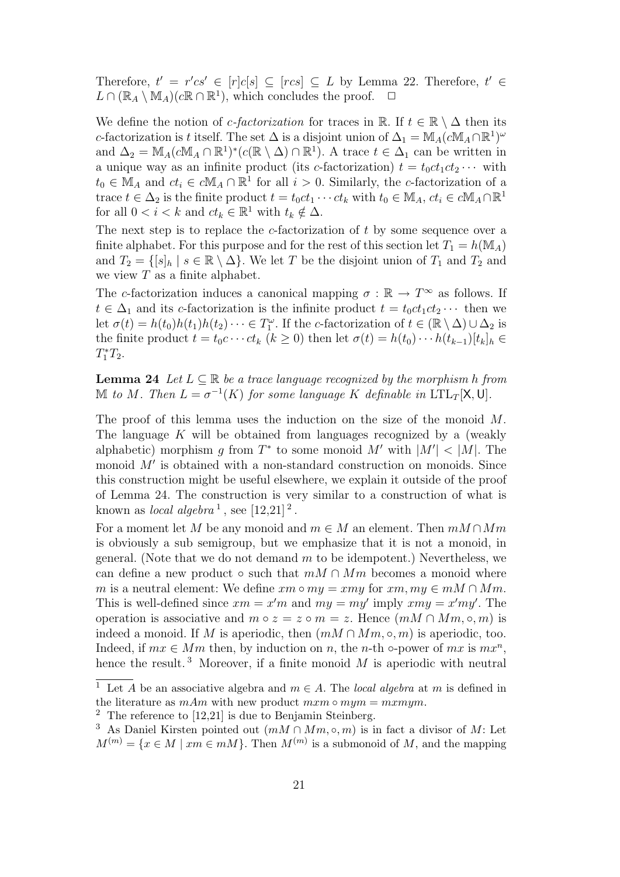Therefore,  $t' = r'cs' \in [r]c[s] \subseteq [rcs] \subseteq L$  by Lemma 22. Therefore,  $t' \in$  $L \cap (\mathbb{R}_A \setminus \mathbb{M}_A)(c\mathbb{R} \cap \mathbb{R}^1)$ , which concludes the proof.  $\Box$ 

We define the notion of *c*-factorization for traces in R. If  $t \in \mathbb{R} \setminus \Delta$  then its c-factorization is t itself. The set  $\Delta$  is a disjoint union of  $\Delta_1 = M_A (cM_A \cap \mathbb{R}^1)^\omega$ and  $\Delta_2 = M_A(cM_A \cap \mathbb{R}^1)^*(c(\mathbb{R} \setminus \Delta) \cap \mathbb{R}^1)$ . A trace  $t \in \Delta_1$  can be written in a unique way as an infinite product (its c-factorization)  $t = t_0ct_1ct_2 \cdots$  with  $t_0 \in M_A$  and  $ct_i \in cM_A \cap \mathbb{R}^1$  for all  $i > 0$ . Similarly, the c-factorization of a trace  $t \in \Delta_2$  is the finite product  $t = t_0ct_1 \cdots ct_k$  with  $t_0 \in M_A$ ,  $ct_i \in cM_A \cap \mathbb{R}^1$ for all  $0 < i < k$  and  $ct_k \in \mathbb{R}^1$  with  $t_k \notin \Delta$ .

The next step is to replace the  $c$ -factorization of  $t$  by some sequence over a finite alphabet. For this purpose and for the rest of this section let  $T_1 = h(M_A)$ and  $T_2 = \{ [s]_h \mid s \in \mathbb{R} \setminus \Delta \}$ . We let T be the disjoint union of  $T_1$  and  $T_2$  and we view  $T$  as a finite alphabet.

The c-factorization induces a canonical mapping  $\sigma : \mathbb{R} \to T^{\infty}$  as follows. If  $t \in \Delta_1$  and its c-factorization is the infinite product  $t = t_0ct_1ct_2 \cdots$  then we let  $\sigma(t) = h(t_0)h(t_1)h(t_2)\cdots \in T_1^{\omega}$ . If the c-factorization of  $t \in (\mathbb{R} \setminus \Delta) \cup \Delta_2$  is the finite product  $t = t_0c \cdots ct_k$   $(k \ge 0)$  then let  $\sigma(t) = h(t_0) \cdots h(t_{k-1})[t_k]_h \in$  $T_1^*T_2.$ 

**Lemma 24** Let  $L \subseteq \mathbb{R}$  be a trace language recognized by the morphism h from M to M. Then  $L = \sigma^{-1}(K)$  for some language K definable in  $LTL_T[X, U]$ .

The proof of this lemma uses the induction on the size of the monoid M. The language K will be obtained from languages recognized by a (weakly alphabetic) morphism g from  $T^*$  to some monoid M' with  $|M'| < |M|$ . The monoid  $M'$  is obtained with a non-standard construction on monoids. Since this construction might be useful elsewhere, we explain it outside of the proof of Lemma 24. The construction is very similar to a construction of what is known as *local algebra*<sup>1</sup>, see  $[12,21]$ <sup>2</sup>.

For a moment let M be any monoid and  $m \in M$  an element. Then  $mM \cap Mm$ is obviously a sub semigroup, but we emphasize that it is not a monoid, in general. (Note that we do not demand  $m$  to be idempotent.) Nevertheless, we can define a new product  $\circ$  such that  $mM \cap Mm$  becomes a monoid where m is a neutral element: We define  $xm \circ my = xmy$  for  $xm, my \in mM \cap Mm$ . This is well-defined since  $xm = x'm$  and  $my = my'$  imply  $xmy = x'my'$ . The operation is associative and  $m \circ z = z \circ m = z$ . Hence  $(mM \cap Mm, \circ, m)$  is indeed a monoid. If M is aperiodic, then  $(mM \cap Mm, \circ, m)$  is aperiodic, too. Indeed, if  $mx \in Mm$  then, by induction on n, the n-th  $\circ$ -power of mx is  $mx^n$ , hence the result.<sup>3</sup> Moreover, if a finite monoid  $M$  is aperiodic with neutral

<sup>&</sup>lt;sup>1</sup> Let A be an associative algebra and  $m \in A$ . The *local algebra* at m is defined in the literature as  $mAm$  with new product  $mxm \circ mym = mxmym$ .

 $2$  The reference to [12,21] is due to Benjamin Steinberg.

<sup>&</sup>lt;sup>3</sup> As Daniel Kirsten pointed out  $(mM \cap Mm, \circ, m)$  is in fact a divisor of M: Let  $M^{(m)} = \{x \in M \mid xm \in mM\}$ . Then  $M^{(m)}$  is a submonoid of M, and the mapping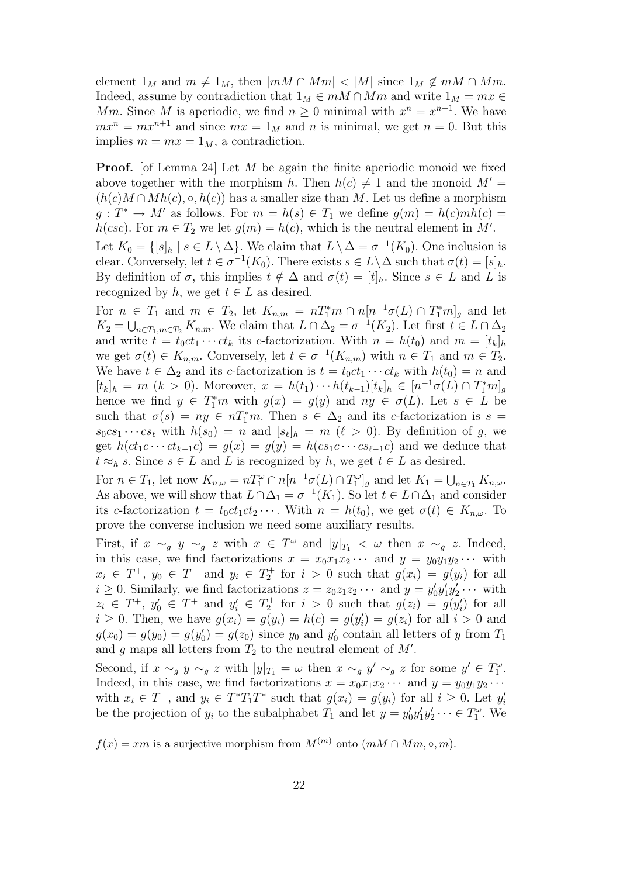element  $1_M$  and  $m \neq 1_M$ , then  $|mM \cap Mm| < |M|$  since  $1_M \notin mM \cap Mm$ . Indeed, assume by contradiction that  $1_M \in mM \cap Mm$  and write  $1_M = mx \in$ Mm. Since M is aperiodic, we find  $n \geq 0$  minimal with  $x^n = x^{n+1}$ . We have  $mx^n = mx^{n+1}$  and since  $mx = 1_M$  and n is minimal, we get  $n = 0$ . But this implies  $m = mx = 1_M$ , a contradiction.

**Proof.** [of Lemma 24] Let M be again the finite aperiodic monoid we fixed above together with the morphism h. Then  $h(c) \neq 1$  and the monoid  $M' =$  $(h(c)M \cap Mh(c), \circ, h(c))$  has a smaller size than M. Let us define a morphism  $g: T^* \to M'$  as follows. For  $m = h(s) \in T_1$  we define  $g(m) = h(c)mh(c)$  $h(\csc)$ . For  $m \in T_2$  we let  $g(m) = h(c)$ , which is the neutral element in M'.

Let  $K_0 = \{ [s]_h \mid s \in L \setminus \Delta \}$ . We claim that  $L \setminus \Delta = \sigma^{-1}(K_0)$ . One inclusion is clear. Conversely, let  $t \in \sigma^{-1}(K_0)$ . There exists  $s \in L \setminus \Delta$  such that  $\sigma(t) = [s]_h$ . By definition of  $\sigma$ , this implies  $t \notin \Delta$  and  $\sigma(t) = [t]_h$ . Since  $s \in L$  and L is recognized by h, we get  $t \in L$  as desired.

For  $n \in T_1$  and  $m \in T_2$ , let  $K_{n,m} = nT_1^*m \cap n[n^{-1}\sigma(L) \cap T_1^*m]_g$  and let  $K_2 = \bigcup_{n \in T_1, m \in T_2} K_{n,m}$ . We claim that  $L \cap \Delta_2 = \sigma^{-1}(K_2)$ . Let first  $t \in L \cap \Delta_2$ and write  $t = t_0ct_1 \cdots ct_k$  its c-factorization. With  $n = h(t_0)$  and  $m = [t_k]_h$ we get  $\sigma(t) \in K_{n,m}$ . Conversely, let  $t \in \sigma^{-1}(K_{n,m})$  with  $n \in T_1$  and  $m \in T_2$ . We have  $t \in \Delta_2$  and its c-factorization is  $t = t_0ct_1 \cdots ct_k$  with  $h(t_0) = n$  and  $[t_k]_h = m \ (k > 0)$ . Moreover,  $x = h(t_1) \cdots h(t_{k-1})[t_k]_h \in [n^{-1}\sigma(L) \cap T_1^*m]_g$ hence we find  $y \in T_1^*m$  with  $g(x) = g(y)$  and  $ny \in \sigma(L)$ . Let  $s \in L$  be such that  $\sigma(s) = ny \in nT_1^*m$ . Then  $s \in \Delta_2$  and its c-factorization is  $s =$  $s_0 c s_1 \cdots c s_\ell$  with  $h(s_0) = n$  and  $[s_\ell]_h = m$  ( $\ell > 0$ ). By definition of g, we get  $h(ct_1c \cdots ct_{k-1}c) = g(x) = g(y) = h(c s_1c \cdots c s_{\ell-1}c)$  and we deduce that  $t \approx_h s$ . Since  $s \in L$  and L is recognized by h, we get  $t \in L$  as desired.

For  $n \in T_1$ , let now  $K_{n,\omega} = nT_1^{\omega} \cap n[n^{-1}\sigma(L) \cap T_1^{\omega}]_g$  and let  $K_1 = \bigcup_{n \in T_1} K_{n,\omega}$ . As above, we will show that  $L \cap \Delta_1 = \sigma^{-1}(K_1)$ . So let  $t \in L \cap \Delta_1$  and consider its c-factorization  $t = t_0ct_1ct_2 \cdots$ . With  $n = h(t_0)$ , we get  $\sigma(t) \in K_{n,\omega}$ . To prove the converse inclusion we need some auxiliary results.

First, if  $x \sim_g y \sim_g z$  with  $x \in T^{\omega}$  and  $|y|_{T_1} < \omega$  then  $x \sim_g z$ . Indeed, in this case, we find factorizations  $x = x_0 x_1 x_2 \cdots$  and  $y = y_0 y_1 y_2 \cdots$  with  $x_i \in T^+$ ,  $y_0 \in T^+$  and  $y_i \in T_2^+$  for  $i > 0$  such that  $g(x_i) = g(y_i)$  for all  $i \geq 0$ . Similarly, we find factorizations  $z = z_0 z_1 z_2 \cdots$  and  $y = y'_0 y'_1 y'_2 \cdots$  with  $z_i \in T^+$ ,  $y'_0 \in T^+$  and  $y'_i \in T_2^+$  for  $i > 0$  such that  $g(z_i) = g(y'_i)$  for all  $i \geq 0$ . Then, we have  $g(x_i) = g(y_i) = h(c) = g(y_i') = g(z_i)$  for all  $i > 0$  and  $g(x_0) = g(y_0) = g(y_0') = g(z_0)$  since  $y_0$  and  $y_0'$  contain all letters of y from  $T_1$ and g maps all letters from  $T_2$  to the neutral element of  $M'$ .

Second, if  $x \sim_g y \sim_g z$  with  $|y|_{T_1} = \omega$  then  $x \sim_g y' \sim_g z$  for some  $y' \in T_1^{\omega}$ . Indeed, in this case, we find factorizations  $x = x_0x_1x_2\cdots$  and  $y = y_0y_1y_2\cdots$ with  $x_i \in T^+$ , and  $y_i \in T^*T_1T^*$  such that  $g(x_i) = g(y_i)$  for all  $i \geq 0$ . Let  $y'_i$ be the projection of  $y_i$  to the subalphabet  $T_1$  and let  $y = y'_0 y'_1 y'_2 \cdots \in T_1^{\omega}$ . We

 $f(x) = xm$  is a surjective morphism from  $M^{(m)}$  onto  $(mM \cap Mm, \circ, m)$ .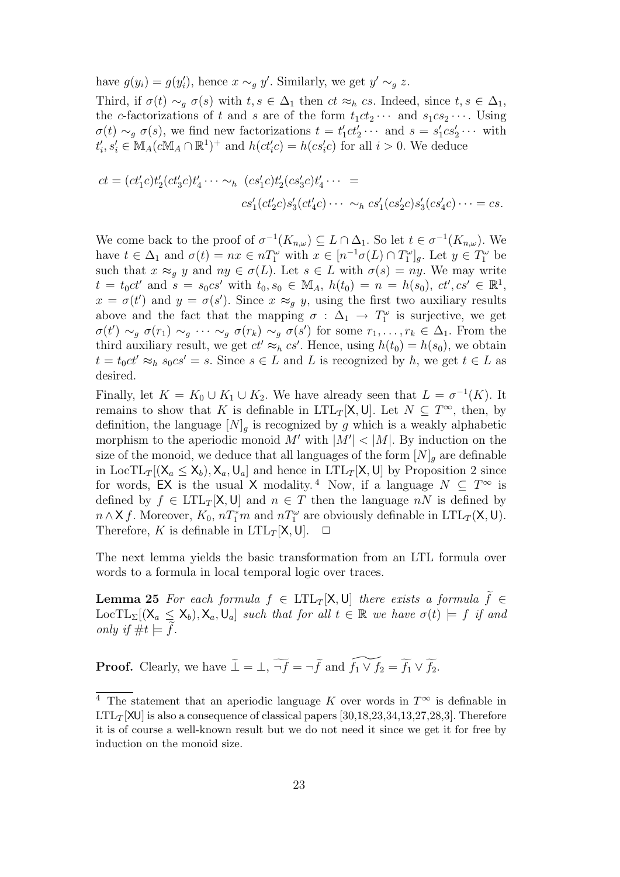have  $g(y_i) = g(y'_i)$ , hence  $x \sim_g y'$ . Similarly, we get  $y' \sim_g z$ .

Third, if  $\sigma(t) \sim_q \sigma(s)$  with  $t, s \in \Delta_1$  then  $ct \approx_h cs$ . Indeed, since  $t, s \in \Delta_1$ , the c-factorizations of t and s are of the form  $t_1ct_2 \cdots$  and  $s_1cs_2 \cdots$ . Using  $\sigma(t) \sim_g \sigma(s)$ , we find new factorizations  $t = t'_1ct'_2 \cdots$  and  $s = s'_1cs'_2 \cdots$  with  $t'_i, s'_i \in M_A(cM_A \cap \mathbb{R}^1)^+$  and  $h(ct'_ic) = h(cs'_ic)$  for all  $i > 0$ . We deduce

$$
ct = (ct'_1c)t'_2(ct'_3c)t'_4\cdots \sim_h (cs'_1c)t'_2 (cs'_3c)t'_4\cdots =c s'_1(ct'_2c)s'_3(ct'_4c)\cdots \sim_h cs'_1 (cs'_2c)s'_3 (cs'_4c)\cdots = cs.
$$

We come back to the proof of  $\sigma^{-1}(K_{n,\omega}) \subseteq L \cap \Delta_1$ . So let  $t \in \sigma^{-1}(K_{n,\omega})$ . We have  $t \in \Delta_1$  and  $\sigma(t) = nx \in nT_1^{\omega}$  with  $x \in [n^{-1}\sigma(L) \cap T_1^{\omega}]_g$ . Let  $y \in T_1^{\omega}$  be such that  $x \approx_q y$  and  $ny \in \sigma(L)$ . Let  $s \in L$  with  $\sigma(s) = ny$ . We may write  $t = t_0ct'$  and  $s = s_0cs'$  with  $t_0, s_0 \in M_A$ ,  $h(t_0) = n = h(s_0), ct', cs' \in \mathbb{R}^1$ ,  $x = \sigma(t')$  and  $y = \sigma(s')$ . Since  $x \approx_g y$ , using the first two auxiliary results above and the fact that the mapping  $\sigma : \Delta_1 \to T_1^{\omega}$  is surjective, we get  $\sigma(t') \sim_g \sigma(r_1) \sim_g \cdots \sim_g \sigma(r_k) \sim_g \sigma(s')$  for some  $r_1, \ldots, r_k \in \Delta_1$ . From the third auxiliary result, we get  $ct' \approx_h cs'$ . Hence, using  $h(t_0) = h(s_0)$ , we obtain  $t = t_0ct' \approx_h s_0cs' = s$ . Since  $s \in L$  and L is recognized by h, we get  $t \in L$  as desired.

Finally, let  $K = K_0 \cup K_1 \cup K_2$ . We have already seen that  $L = \sigma^{-1}(K)$ . It remains to show that K is definable in  $LTL_T[X, U]$ . Let  $N \subseteq T^{\infty}$ , then, by definition, the language  $[N]_q$  is recognized by g which is a weakly alphabetic morphism to the aperiodic monoid M' with  $|M'| < |M|$ . By induction on the size of the monoid, we deduce that all languages of the form  $[N]_q$  are definable in LocTL<sub>T</sub> $[(X_a \le X_b), X_a, U_a]$  and hence in LTL<sub>T</sub> $[X, U]$  by Proposition 2 since for words, EX is the usual X modality.<sup>4</sup> Now, if a language  $N \subseteq T^{\infty}$  is defined by  $f \in \text{LTL}_T[\mathsf{X},\mathsf{U}]$  and  $n \in T$  then the language  $nN$  is defined by  $n \wedge \mathsf{X}$  f. Moreover,  $K_0$ ,  $nT_1^*m$  and  $nT_1^{\omega}$  are obviously definable in  $\text{LTL}_T(\mathsf{X}, \mathsf{U})$ . Therefore, K is definable in  $LTL_T[X, U]$ .  $\Box$ 

The next lemma yields the basic transformation from an LTL formula over words to a formula in local temporal logic over traces.

**Lemma 25** For each formula  $f \in \text{LTL}_T[\mathsf{X}, \mathsf{U}]$  there exists a formula  $\tilde{f} \in$  $LocTL_{\Sigma}[(X_a \le X_b), X_a, U_a]$  such that for all  $t \in \mathbb{R}$  we have  $\sigma(t) \models f$  if and only if  $\#t \models f$ .

**Proof.** Clearly, we have  $\tilde{\perp} = \perp$ ,  $\widetilde{\neg f} = \neg \tilde{f}$  and  $\widetilde{f_1 \vee f_2} = \widetilde{f_1} \vee \widetilde{f_2}$ .

<sup>&</sup>lt;sup>4</sup> The statement that an aperiodic language K over words in  $T^{\infty}$  is definable in  $LTL_T[XU]$  is also a consequence of classical papers [30,18,23,34,13,27,28,3]. Therefore it is of course a well-known result but we do not need it since we get it for free by induction on the monoid size.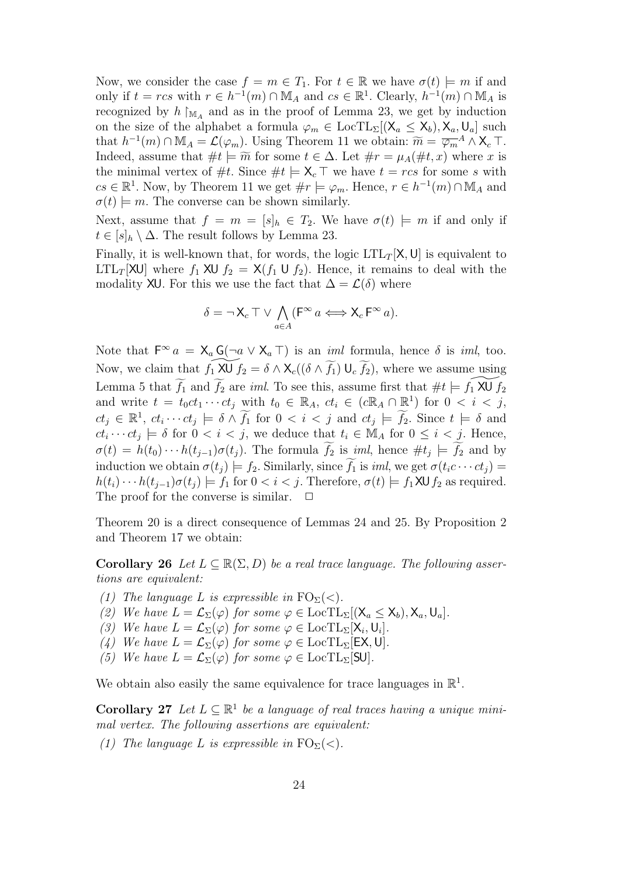Now, we consider the case  $f = m \in T_1$ . For  $t \in \mathbb{R}$  we have  $\sigma(t) \models m$  if and only if  $t = rcs$  with  $r \in h^{-1}(m) \cap M_A$  and  $cs \in \mathbb{R}^1$ . Clearly,  $h^{-1}(m) \cap M_A$  is recognized by  $h \upharpoonright_{\mathbb{M}_A}$  and as in the proof of Lemma 23, we get by induction on the size of the alphabet a formula  $\varphi_m \in \text{LocTL}_{\Sigma}[(X_a \le X_b), X_a, U_a]$  such that  $h^{-1}(m) \cap \mathbb{M}_A = \mathcal{L}(\varphi_m)$ . Using Theorem 11 we obtain:  $\widetilde{m} = \overline{\varphi_m}^A \wedge X_c \top$ . Indeed, assume that  $\#t \models \widetilde{m}$  for some  $t \in \Delta$ . Let  $\#r = \mu_A(\#t, x)$  where x is the minimal vertex of #t. Since  $#t \models \mathsf{X}_c \top$  we have  $t = rcs$  for some s with  $cs \in \mathbb{R}^1$ . Now, by Theorem 11 we get  $\#r \models \varphi_m$ . Hence,  $r \in h^{-1}(m) \cap M_A$  and  $\sigma(t) \models m$ . The converse can be shown similarly.

Next, assume that  $f = m = [s]_h \in T_2$ . We have  $\sigma(t) \models m$  if and only if  $t \in [s]_h \setminus \Delta$ . The result follows by Lemma 23.

Finally, it is well-known that, for words, the logic  $LTL_T[X, U]$  is equivalent to LTL<sub>T</sub>[XU] where  $f_1$  XU  $f_2 = X(f_1 \cup f_2)$ . Hence, it remains to deal with the modality XU. For this we use the fact that  $\Delta = \mathcal{L}(\delta)$  where

$$
\delta = \neg \mathsf{X}_c \top \lor \bigwedge_{a \in A} (\mathsf{F}^\infty \, a \Longleftrightarrow \mathsf{X}_c \, \mathsf{F}^\infty \, a).
$$

Note that  $\mathsf{F}^{\infty} a = \mathsf{X}_a \mathsf{G}(\neg a \vee \mathsf{X}_a \top)$  is an *iml* formula, hence  $\delta$  is *iml*, too. Now, we claim that  $f_1 \,\widetilde{\mathsf{XU}}\, f_2 = \delta \wedge \mathsf{X}_c((\delta \wedge \widetilde{f_1})\, \mathsf{U}_c\, \widetilde{f_2})$ , where we assume using Lemma 5 that  $\widetilde{f}_1$  and  $\widetilde{f}_2$  are *iml*. To see this, assume first that  $\#t \models f_1\widetilde{\mathsf{XU}} f_2$ and write  $t = t_0ct_1 \cdots ct_j$  with  $t_0 \in \mathbb{R}_A$ ,  $ct_i \in (c\mathbb{R}_A \cap \mathbb{R}^1)$  for  $0 < i < j$ ,  $ct_j \in \mathbb{R}^1$ ,  $ct_i \cdots ct_j \models \delta \wedge \widetilde{f_1}$  for  $0 < i < j$  and  $ct_j \models \widetilde{f_2}$ . Since  $t \models \delta$  and  $ct_i \cdots ct_j \models \delta$  for  $0 < i < j$ , we deduce that  $t_i \in M_A$  for  $0 \leq i < j$ . Hence,  $\sigma(t) = h(t_0) \cdots h(t_{j-1}) \sigma(t_j)$ . The formula  $f_2$  is *iml*, hence  $\# t_j \models f_2$  and by induction we obtain  $\sigma(t_i) \models f_2$ . Similarly, since  $\widetilde{f_1}$  is *iml*, we get  $\sigma(t_i c \cdots c t_i) =$  $h(t_i)\cdots h(t_{j-1})\sigma(t_j) \models f_1$  for  $0 < i < j$ . Therefore,  $\sigma(t) \models f_1 \mathsf{X} \cup f_2$  as required. The proof for the converse is similar.  $\Box$ 

Theorem 20 is a direct consequence of Lemmas 24 and 25. By Proposition 2 and Theorem 17 we obtain:

**Corollary 26** Let  $L \subseteq \mathbb{R}(\Sigma, D)$  be a real trace language. The following assertions are equivalent:

- (1) The language L is expressible in  $\mathrm{FO}_{\Sigma}(<)$ .
- (2) We have  $L = \mathcal{L}_{\Sigma}(\varphi)$  for some  $\varphi \in \text{LocTL}_{\Sigma}[(X_a \leq X_b), X_a, U_a]$ .
- (3) We have  $L = \mathcal{L}_{\Sigma}(\varphi)$  for some  $\varphi \in \text{LocTL}_{\Sigma}[\mathsf{X}_i, \mathsf{U}_i]$ .
- (4) We have  $L = \mathcal{L}_{\Sigma}(\varphi)$  for some  $\varphi \in \text{LocTL}_{\Sigma}[\textsf{EX},\textsf{U}].$
- (5) We have  $L = \mathcal{L}_{\Sigma}(\varphi)$  for some  $\varphi \in \text{LocTL}_{\Sigma}[\text{SU}].$

We obtain also easily the same equivalence for trace languages in  $\mathbb{R}^1$ .

**Corollary 27** Let  $L \subseteq \mathbb{R}^1$  be a language of real traces having a unique minimal vertex. The following assertions are equivalent:

(1) The language L is expressible in  $\mathrm{FO}_{\Sigma}(<)$ .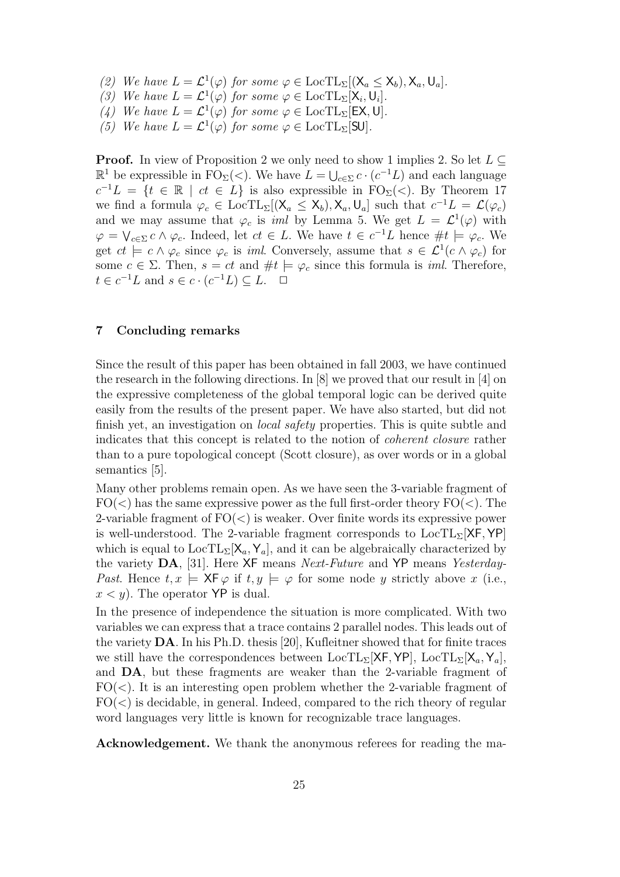- (2) We have  $L = \mathcal{L}^1(\varphi)$  for some  $\varphi \in \text{LocTL}_{\Sigma}[(X_a \le X_b), X_a, U_a]$ .
- (3) We have  $L = \mathcal{L}^1(\varphi)$  for some  $\varphi \in \text{LocTL}_{\Sigma}[\mathsf{X}_i, \mathsf{U}_i].$
- (4) We have  $L = \mathcal{L}^1(\varphi)$  for some  $\varphi \in \text{LocTL}_{\Sigma}[\textsf{EX},\textsf{U}].$
- (5) We have  $L = \mathcal{L}^1(\varphi)$  for some  $\varphi \in \text{LocTL}_{\Sigma}[\text{SU}].$

**Proof.** In view of Proposition 2 we only need to show 1 implies 2. So let  $L \subseteq$  $\mathbb{R}^1$  be expressible in FO<sub>Σ</sub>(<). We have  $L = \bigcup_{c \in \Sigma} c \cdot (c^{-1}L)$  and each language  $c^{-1}L = \{t \in \mathbb{R} \mid ct \in L\}$  is also expressible in  $\text{FO}_{\Sigma}(\lt)$ . By Theorem 17 we find a formula  $\varphi_c \in \text{LocTL}_{\Sigma}[(X_a \le X_b), X_a, U_a]$  such that  $c^{-1}L = \mathcal{L}(\varphi_c)$ and we may assume that  $\varphi_c$  is *iml* by Lemma 5. We get  $L = \mathcal{L}^1(\varphi)$  with  $\varphi = \bigvee_{c \in \Sigma} c \wedge \varphi_c$ . Indeed, let  $ct \in L$ . We have  $t \in c^{-1}L$  hence  $\#t \models \varphi_c$ . We get  $ct \models c \land \varphi_c$  since  $\varphi_c$  is *iml.* Conversely, assume that  $s \in \mathcal{L}^1(c \land \varphi_c)$  for some  $c \in \Sigma$ . Then,  $s = ct$  and  $\#t \models \varphi_c$  since this formula is *iml*. Therefore,  $t \in c^{-1}L$  and  $s \in c \cdot (c^{-1}L) \subseteq L$ .  $\Box$ 

## 7 Concluding remarks

Since the result of this paper has been obtained in fall 2003, we have continued the research in the following directions. In [8] we proved that our result in [4] on the expressive completeness of the global temporal logic can be derived quite easily from the results of the present paper. We have also started, but did not finish yet, an investigation on *local safety* properties. This is quite subtle and indicates that this concept is related to the notion of coherent closure rather than to a pure topological concept (Scott closure), as over words or in a global semantics [5].

Many other problems remain open. As we have seen the 3-variable fragment of  $FO(<)$  has the same expressive power as the full first-order theory  $FO(<)$ . The 2-variable fragment of  $FO(<)$  is weaker. Over finite words its expressive power is well-understood. The 2-variable fragment corresponds to  $LocTL<sub>\Sigma</sub>[XF, YP]$ which is equal to  $LocTL<sub>\Sigma</sub>[X<sub>a</sub>, Y<sub>a</sub>]$ , and it can be algebraically characterized by the variety DA, [31]. Here XF means Next-Future and YP means Yesterday-Past. Hence  $t, x \models \mathsf{XF} \varphi$  if  $t, y \models \varphi$  for some node y strictly above x (i.e.,  $x < y$ ). The operator YP is dual.

In the presence of independence the situation is more complicated. With two variables we can express that a trace contains 2 parallel nodes. This leads out of the variety DA. In his Ph.D. thesis [20], Kufleitner showed that for finite traces we still have the correspondences between  $LocTL_{\Sigma}[XF, YP], LocTL_{\Sigma}[X_{a}, Y_{a}],$ and DA, but these fragments are weaker than the 2-variable fragment of  $FO(<)$ . It is an interesting open problem whether the 2-variable fragment of  $FO(\leq)$  is decidable, in general. Indeed, compared to the rich theory of regular word languages very little is known for recognizable trace languages.

Acknowledgement. We thank the anonymous referees for reading the ma-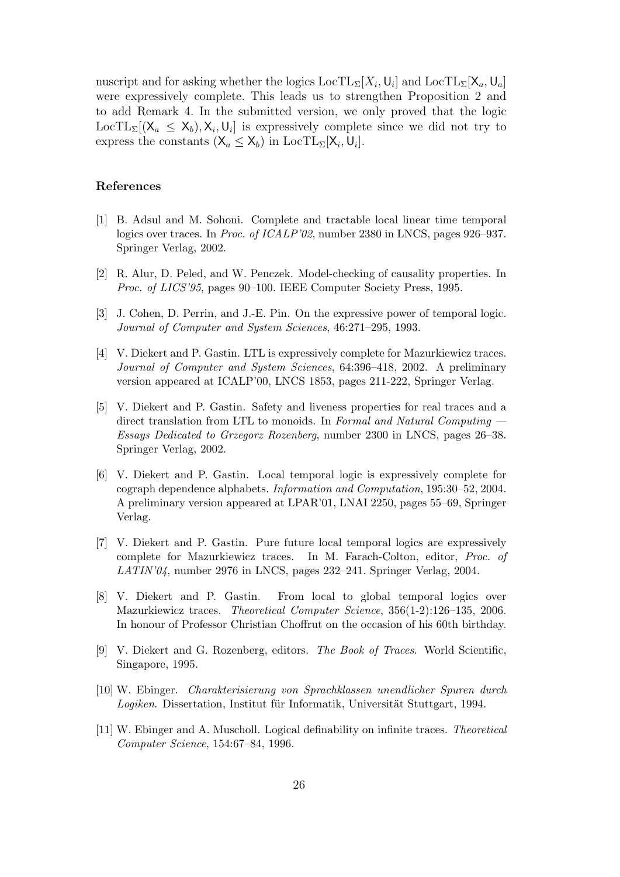nuscript and for asking whether the logics  $\text{LocTL}_{\Sigma}[X_i, \mathsf{U}_i]$  and  $\text{LocTL}_{\Sigma}[\mathsf{X}_a, \mathsf{U}_a]$ were expressively complete. This leads us to strengthen Proposition 2 and to add Remark 4. In the submitted version, we only proved that the logic LocTL<sub>Σ</sub>[( $X_a \le X_b$ ),  $X_i$ , U<sub>i</sub>] is expressively complete since we did not try to express the constants  $(X_a \le X_b)$  in LocTL<sub> $\Sigma$ </sub>[ $X_i, U_i$ ].

## References

- [1] B. Adsul and M. Sohoni. Complete and tractable local linear time temporal logics over traces. In Proc. of ICALP'02, number 2380 in LNCS, pages 926–937. Springer Verlag, 2002.
- [2] R. Alur, D. Peled, and W. Penczek. Model-checking of causality properties. In Proc. of LICS'95, pages 90–100. IEEE Computer Society Press, 1995.
- [3] J. Cohen, D. Perrin, and J.-E. Pin. On the expressive power of temporal logic. Journal of Computer and System Sciences, 46:271–295, 1993.
- [4] V. Diekert and P. Gastin. LTL is expressively complete for Mazurkiewicz traces. Journal of Computer and System Sciences, 64:396–418, 2002. A preliminary version appeared at ICALP'00, LNCS 1853, pages 211-222, Springer Verlag.
- [5] V. Diekert and P. Gastin. Safety and liveness properties for real traces and a direct translation from LTL to monoids. In Formal and Natural Computing -Essays Dedicated to Grzegorz Rozenberg, number 2300 in LNCS, pages 26–38. Springer Verlag, 2002.
- [6] V. Diekert and P. Gastin. Local temporal logic is expressively complete for cograph dependence alphabets. Information and Computation, 195:30–52, 2004. A preliminary version appeared at LPAR'01, LNAI 2250, pages 55–69, Springer Verlag.
- [7] V. Diekert and P. Gastin. Pure future local temporal logics are expressively complete for Mazurkiewicz traces. In M. Farach-Colton, editor, Proc. of LATIN'04, number 2976 in LNCS, pages 232–241. Springer Verlag, 2004.
- [8] V. Diekert and P. Gastin. From local to global temporal logics over Mazurkiewicz traces. Theoretical Computer Science, 356(1-2):126–135, 2006. In honour of Professor Christian Choffrut on the occasion of his 60th birthday.
- [9] V. Diekert and G. Rozenberg, editors. The Book of Traces. World Scientific, Singapore, 1995.
- [10] W. Ebinger. Charakterisierung von Sprachklassen unendlicher Spuren durch Logiken. Dissertation, Institut für Informatik, Universität Stuttgart, 1994.
- [11] W. Ebinger and A. Muscholl. Logical definability on infinite traces. Theoretical Computer Science, 154:67–84, 1996.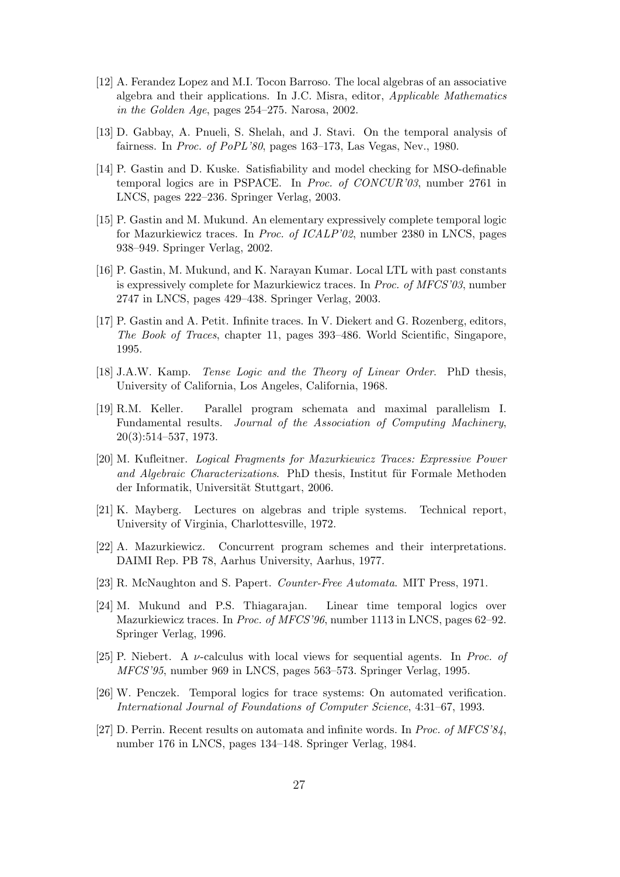- [12] A. Ferandez Lopez and M.I. Tocon Barroso. The local algebras of an associative algebra and their applications. In J.C. Misra, editor, Applicable Mathematics in the Golden Age, pages 254–275. Narosa, 2002.
- [13] D. Gabbay, A. Pnueli, S. Shelah, and J. Stavi. On the temporal analysis of fairness. In Proc. of PoPL'80, pages 163–173, Las Vegas, Nev., 1980.
- [14] P. Gastin and D. Kuske. Satisfiability and model checking for MSO-definable temporal logics are in PSPACE. In Proc. of CONCUR'03, number 2761 in LNCS, pages 222–236. Springer Verlag, 2003.
- [15] P. Gastin and M. Mukund. An elementary expressively complete temporal logic for Mazurkiewicz traces. In Proc. of ICALP'02, number 2380 in LNCS, pages 938–949. Springer Verlag, 2002.
- [16] P. Gastin, M. Mukund, and K. Narayan Kumar. Local LTL with past constants is expressively complete for Mazurkiewicz traces. In Proc. of MFCS'03, number 2747 in LNCS, pages 429–438. Springer Verlag, 2003.
- [17] P. Gastin and A. Petit. Infinite traces. In V. Diekert and G. Rozenberg, editors, The Book of Traces, chapter 11, pages 393–486. World Scientific, Singapore, 1995.
- [18] J.A.W. Kamp. Tense Logic and the Theory of Linear Order. PhD thesis, University of California, Los Angeles, California, 1968.
- [19] R.M. Keller. Parallel program schemata and maximal parallelism I. Fundamental results. Journal of the Association of Computing Machinery, 20(3):514–537, 1973.
- [20] M. Kufleitner. Logical Fragments for Mazurkiewicz Traces: Expressive Power and Algebraic Characterizations. PhD thesis, Institut für Formale Methoden der Informatik, Universität Stuttgart, 2006.
- [21] K. Mayberg. Lectures on algebras and triple systems. Technical report, University of Virginia, Charlottesville, 1972.
- [22] A. Mazurkiewicz. Concurrent program schemes and their interpretations. DAIMI Rep. PB 78, Aarhus University, Aarhus, 1977.
- [23] R. McNaughton and S. Papert. Counter-Free Automata. MIT Press, 1971.
- [24] M. Mukund and P.S. Thiagarajan. Linear time temporal logics over Mazurkiewicz traces. In Proc. of MFCS'96, number 1113 in LNCS, pages 62–92. Springer Verlag, 1996.
- [25] P. Niebert. A  $\nu$ -calculus with local views for sequential agents. In *Proc. of* MFCS'95, number 969 in LNCS, pages 563–573. Springer Verlag, 1995.
- [26] W. Penczek. Temporal logics for trace systems: On automated verification. International Journal of Foundations of Computer Science, 4:31–67, 1993.
- [27] D. Perrin. Recent results on automata and infinite words. In Proc. of MFCS'84, number 176 in LNCS, pages 134–148. Springer Verlag, 1984.